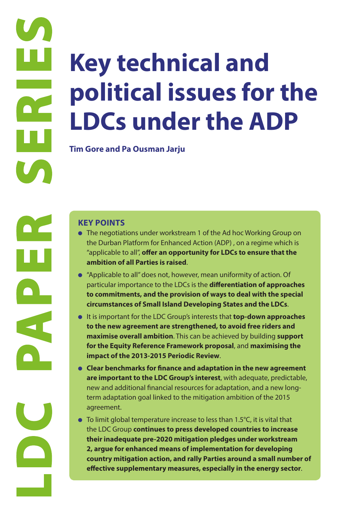# **LDCS**<br> **CONTRESS**<br> **CONTRESS**<br> **CONTRESS**<br> **CONTRESS**<br> **EXECTPOINTS**<br> **CONTRESS**<br> **EXECTPOINTS**<br> **CONTRESS**<br> **EXECTPOINTS**<br> **CONTRESS**<br> **EXECTPOINTS**<br> **CONTRESS**<br> **CONTRESS**<br> **CONTRESS**<br> **CONTRESS**<br> **CONTRESS**<br> **CONTRESS Key technical and political issues for the LDCs under the ADP**

**Tim Gore and Pa Ousman Jarju**

- The negotiations under workstream 1 of the Ad hoc Working Group on the Durban Platform for Enhanced Action (ADP) , on a regime which is "applicable to all", **offer an opportunity for LDCs to ensure that the ambition of all Parties is raised**.
- "Applicable to all" does not, however, mean uniformity of action. Of particular importance to the LDCs is the **differentiation of approaches to commitments, and the provision of ways to deal with the special circumstances of Small Island Developing States and the LDCs**.
- It is important for the LDC Group's interests that **top-down approaches to the new agreement are strengthened, to avoid free riders and maximise overall ambition**. This can be achieved by building **support for the Equity Reference Framework proposal**, and **maximising the impact of the 2013-2015 Periodic Review**.
- **Clear benchmarks for finance and adaptation in the new agreement are important to the LDC Group's interest**, with adequate, predictable, new and additional financial resources for adaptation, and a new longterm adaptation goal linked to the mitigation ambition of the 2015 agreement.
- To limit global temperature increase to less than 1.5°C, it is vital that the LDC Group **continues to press developed countries to increase their inadequate pre-2020 mitigation pledges under workstream 2, argue for enhanced means of implementation for developing country mitigation action, and rally Parties around a small number of effective supplementary measures, especially in the energy sector**.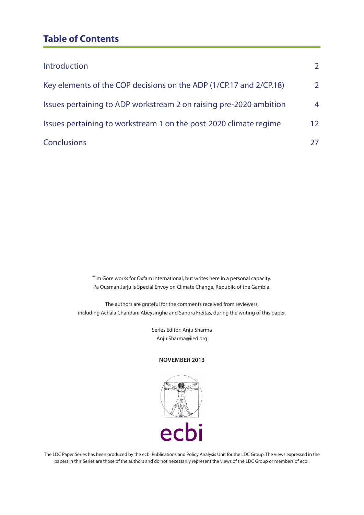# **Table of Contents**

| Introduction                                                       | 2              |
|--------------------------------------------------------------------|----------------|
| Key elements of the COP decisions on the ADP (1/CP.17 and 2/CP.18) | 2              |
| Issues pertaining to ADP workstream 2 on raising pre-2020 ambition | $\overline{4}$ |
| Issues pertaining to workstream 1 on the post-2020 climate regime  | 12             |
| <b>Conclusions</b>                                                 |                |

Tim Gore works for Oxfam International, but writes here in a personal capacity. Pa Ousman Jarju is Special Envoy on Climate Change, Republic of the Gambia.

The authors are grateful for the comments received from reviewers, including Achala Chandani Abeysinghe and Sandra Freitas, during the writing of this paper.

> Series Editor: Anju Sharma Anju.Sharma@iied.org

#### **NOVEMBER 2013**



The LDC Paper Series has been produced by the ecbi Publications and Policy Analysis Unit for the LDC Group. The views expressed in the papers in this Series are those of the authors and do not necessarily represent the views of the LDC Group or members of ecbi.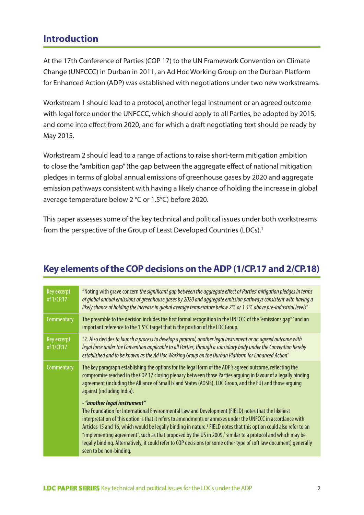# **Introduction**

At the 17th Conference of Parties (COP 17) to the UN Framework Convention on Climate Change (UNFCCC) in Durban in 2011, an Ad Hoc Working Group on the Durban Platform for Enhanced Action (ADP) was established with negotiations under two new workstreams.

Workstream 1 should lead to a protocol, another legal instrument or an agreed outcome with legal force under the UNFCCC, which should apply to all Parties, be adopted by 2015, and come into effect from 2020, and for which a draft negotiating text should be ready by May 2015.

Workstream 2 should lead to a range of actions to raise short-term mitigation ambition to close the "ambition gap" (the gap between the aggregate effect of national mitigation pledges in terms of global annual emissions of greenhouse gases by 2020 and aggregate emission pathways consistent with having a likely chance of holding the increase in global average temperature below 2 °C or 1.5°C) before 2020.

This paper assesses some of the key technical and political issues under both workstreams from the perspective of the Group of Least Developed Countries (LDCs).<sup>1</sup>

# **Key elements of the COP decisions on the ADP (1/CP.17 and 2/CP.18)**

| Key excerpt<br>of 1/CP.17 | "Noting with grave concern the significant gap between the aggregate effect of Parties' mitigation pledges in terms<br>of global annual emissions of greenhouse gases by 2020 and aggregate emission pathways consistent with having a<br>likely chance of holding the increase in global average temperature below $2^{\circ}$ or 1.5 $^{\circ}$ above pre-industrial levels"                                                                                                                                                                                                                                                                                    |
|---------------------------|-------------------------------------------------------------------------------------------------------------------------------------------------------------------------------------------------------------------------------------------------------------------------------------------------------------------------------------------------------------------------------------------------------------------------------------------------------------------------------------------------------------------------------------------------------------------------------------------------------------------------------------------------------------------|
| Commentary                | The preamble to the decision includes the first formal recognition in the UNFCCC of the "emissions gap" <sup>2</sup> and an<br>important reference to the 1.5°C target that is the position of the LDC Group.                                                                                                                                                                                                                                                                                                                                                                                                                                                     |
| Key excerpt<br>of 1/CP.17 | "2. Also decides to launch a process to develop a protocol, another legal instrument or an agreed outcome with<br>legal force under the Convention applicable to all Parties, through a subsidiary body under the Convention hereby<br>established and to be known as the Ad Hoc Working Group on the Durban Platform for Enhanced Action"                                                                                                                                                                                                                                                                                                                        |
| Commentary                | The key paragraph establishing the options for the legal form of the ADP's agreed outcome, reflecting the<br>compromise reached in the COP 17 closing plenary between those Parties arguing in favour of a legally binding<br>agreement (including the Alliance of Small Island States (AOSIS), LDC Group, and the EU) and those arguing<br>against (including India).                                                                                                                                                                                                                                                                                            |
|                           | - "another legal instrument"<br>The Foundation for International Environmental Law and Development (FIELD) notes that the likeliest<br>interpretation of this option is that it refers to amendments or annexes under the UNFCCC in accordance with<br>Articles 15 and 16, which would be legally binding in nature. <sup>3</sup> FIELD notes that this option could also refer to an<br>"implementing agreement", such as that proposed by the US in 2009, <sup>4</sup> similar to a protocol and which may be<br>legally binding. Alternatively, it could refer to COP decisions (or some other type of soft law document) generally<br>seen to be non-binding. |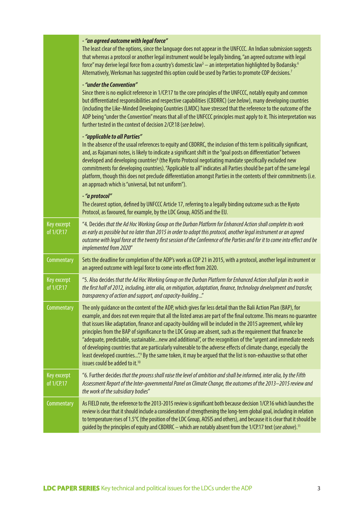|                                                       | - "an agreed outcome with legal force"<br>The least clear of the options, since the language does not appear in the UNFCCC. An Indian submission suggests<br>that whereas a protocol or another legal instrument would be legally binding, "an agreed outcome with legal<br>force" may derive legal force from a country's domestic law <sup>5</sup> - an interpretation highlighted by Bodansky. <sup>6</sup><br>Alternatively, Werksman has suggested this option could be used by Parties to promote COP decisions. <sup>7</sup>                                                                                                                                                                                                                                                                                                                                       |
|-------------------------------------------------------|---------------------------------------------------------------------------------------------------------------------------------------------------------------------------------------------------------------------------------------------------------------------------------------------------------------------------------------------------------------------------------------------------------------------------------------------------------------------------------------------------------------------------------------------------------------------------------------------------------------------------------------------------------------------------------------------------------------------------------------------------------------------------------------------------------------------------------------------------------------------------|
|                                                       | - "under the Convention"<br>Since there is no explicit reference in 1/CP.17 to the core principles of the UNFCCC, notably equity and common<br>but differentiated responsibilities and respective capabilities (CBDRRC) (see below), many developing countries<br>(including the Like-Minded Developing Countries (LMDC) have stressed that the reference to the outcome of the<br>ADP being "under the Convention" means that all of the UNFCCC principles must apply to it. This interpretation was<br>further tested in the context of decision 2/CP.18 (see below).                                                                                                                                                                                                                                                                                                   |
|                                                       | - "applicable to all Parties"<br>In the absence of the usual references to equity and CBDRRC, the inclusion of this term is politically significant,<br>and, as Rajamani notes, is likely to indicate a significant shift in the "goal posts on differentiation" between<br>developed and developing countries <sup>8</sup> (the Kyoto Protocol negotiating mandate specifically excluded new<br>commitments for developing countries). "Applicable to all" indicates all Parties should be part of the same legal<br>platform, though this does not preclude differentiation amongst Parties in the contents of their commitments (i.e.<br>an approach which is "universal, but not uniform").                                                                                                                                                                           |
|                                                       | - "a protocol"<br>The clearest option, defined by UNFCCC Article 17, referring to a legally binding outcome such as the Kyoto<br>Protocol, as favoured, for example, by the LDC Group, AOSIS and the EU.                                                                                                                                                                                                                                                                                                                                                                                                                                                                                                                                                                                                                                                                  |
| Key excerpt<br>of 1/CP.17                             | "4. Decides that the Ad Hoc Working Group on the Durban Platform for Enhanced Action shall complete its work<br>as early as possible but no later than 2015 in order to adopt this protocol, another legal instrument or an agreed<br>outcome with legal force at the twenty first session of the Conference of the Parties and for it to come into effect and be<br>implemented from 2020"                                                                                                                                                                                                                                                                                                                                                                                                                                                                               |
| Commentary                                            | Sets the deadline for completion of the ADP's work as COP 21 in 2015, with a protocol, another legal instrument or<br>an agreed outcome with legal force to come into effect from 2020.                                                                                                                                                                                                                                                                                                                                                                                                                                                                                                                                                                                                                                                                                   |
| Key excerpt<br>of 1/CP.17                             | "5. Also decides that the Ad Hoc Working Group on the Durban Platform for Enhanced Action shall plan its work in<br>the first half of 2012, including, inter alia, on mitigation, adaptation, finance, technology development and transfer,<br>transparency of action and support, and capacity-building"                                                                                                                                                                                                                                                                                                                                                                                                                                                                                                                                                                 |
| Commentary                                            | The only guidance on the content of the ADP, which gives far less detail than the Bali Action Plan (BAP), for<br>example, and does not even require that all the listed areas are part of the final outcome. This means no guarantee<br>that issues like adaptation, finance and capacity-building will be included in the 2015 agreement, while key<br>principles from the BAP of significance to the LDC Group are absent, such as the requirement that finance be<br>"adequate, predictable, sustainablenew and additional", or the recognition of the "urgent and immediate needs<br>of developing countries that are particularly vulnerable to the adverse effects of climate change, especially the<br>least developed countries"? By the same token, it may be argued that the list is non-exhaustive so that other<br>issues could be added to it. <sup>10</sup> |
| Key excerpt<br>of $\overline{1/CP}$ . $\overline{17}$ | "6. Further decides that the process shall raise the level of ambition and shall be informed, inter alia, by the Fifth<br>Assessment Report of the Inter-governmental Panel on Climate Change, the outcomes of the 2013-2015 review and<br>the work of the subsidiary bodies"                                                                                                                                                                                                                                                                                                                                                                                                                                                                                                                                                                                             |
| Commentary                                            | As FIELD note, the reference to the 2013-2015 review is significant both because decision 1/CP.16 which launches the<br>review is clear that it should include a consideration of strengthening the long-term global goal, including in relation<br>to temperature rises of 1.5°C (the position of the LDC Group, AOSIS and others), and because it is clear that it should be<br>guided by the principles of equity and CBDRRC - which are notably absent from the 1/CP.17 text (see above). <sup>11</sup>                                                                                                                                                                                                                                                                                                                                                               |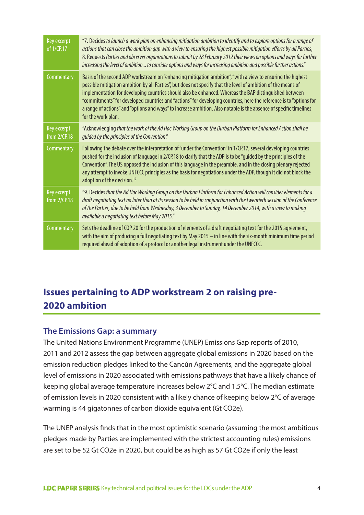| Key excerpt<br>of 1/CP.17   | "7. Decides to launch a work plan on enhancing mitigation ambition to identify and to explore options for a range of<br>actions that can close the ambition gap with a view to ensuring the highest possible mitigation efforts by all Parties;<br>8. Requests Parties and observer organizations to submit by 28 February 2012 their views on options and ways for further<br>increasing the level of ambition to consider options and ways for increasing ambition and possible further actions."                                                                                                       |
|-----------------------------|-----------------------------------------------------------------------------------------------------------------------------------------------------------------------------------------------------------------------------------------------------------------------------------------------------------------------------------------------------------------------------------------------------------------------------------------------------------------------------------------------------------------------------------------------------------------------------------------------------------|
| Commentary                  | Basis of the second ADP workstream on "enhancing mitigation ambition", "with a view to ensuring the highest<br>possible mitigation ambition by all Parties", but does not specify that the level of ambition of the means of<br>implementation for developing countries should also be enhanced. Whereas the BAP distinguished between<br>"commitments" for developed countries and "actions" for developing countries, here the reference is to "options for<br>a range of actions" and "options and ways" to increase ambition. Also notable is the absence of specific timelines<br>for the work plan. |
| Key excerpt<br>from 2/CP.18 | "Acknowledging that the work of the Ad Hoc Working Group on the Durban Platform for Enhanced Action shall be<br>quided by the principles of the Convention."                                                                                                                                                                                                                                                                                                                                                                                                                                              |
| Commentary                  | Following the debate over the interpretation of "under the Convention" in 1/CP.17, several developing countries<br>pushed for the inclusion of language in 2/CP.18 to clarify that the ADP is to be "guided by the principles of the<br>Convention". The US opposed the inclusion of this language in the preamble, and in the closing plenary rejected<br>any attempt to invoke UNFCCC principles as the basis for negotiations under the ADP, though it did not block the<br>adoption of the decision. <sup>12</sup>                                                                                    |
| Key excerpt<br>from 2/CP.18 | "9. Decides that the Ad Hoc Working Group on the Durban Platform for Enhanced Action will consider elements for a<br>draft negotiating text no later than at its session to be held in conjunction with the twentieth session of the Conference<br>of the Parties, due to be held from Wednesday, 3 December to Sunday, 14 December 2014, with a view to making<br>available a negotiating text before May 2015."                                                                                                                                                                                         |
| Commentary                  | Sets the deadline of COP 20 for the production of elements of a draft negotiating text for the 2015 agreement,<br>with the aim of producing a full negotiating text by May $2015 -$ in line with the six-month minimum time period<br>required ahead of adoption of a protocol or another legal instrument under the UNFCCC.                                                                                                                                                                                                                                                                              |

# **Issues pertaining to ADP workstream 2 on raising pre-2020 ambition**

#### **The Emissions Gap: a summary**

The United Nations Environment Programme (UNEP) Emissions Gap reports of 2010, 2011 and 2012 assess the gap between aggregate global emissions in 2020 based on the emission reduction pledges linked to the Cancún Agreements, and the aggregate global level of emissions in 2020 associated with emissions pathways that have a likely chance of keeping global average temperature increases below 2°C and 1.5°C. The median estimate of emission levels in 2020 consistent with a likely chance of keeping below 2°C of average warming is 44 gigatonnes of carbon dioxide equivalent (Gt CO2e).

The UNEP analysis finds that in the most optimistic scenario (assuming the most ambitious pledges made by Parties are implemented with the strictest accounting rules) emissions are set to be 52 Gt CO2e in 2020, but could be as high as 57 Gt CO2e if only the least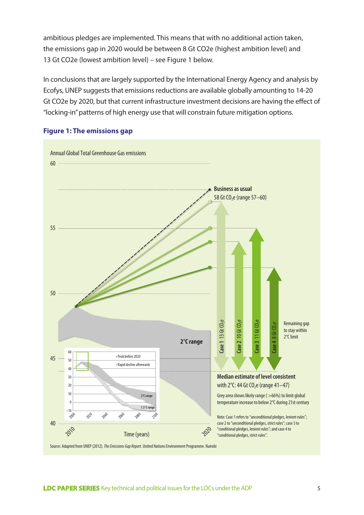ambitious pledges are implemented. This means that with no additional action taken, the emissions gap in 2020 would be between 8 Gt CO2e (highest ambition level) and 13 Gt CO2e (lowest ambition level) – see Figure 1 below.

In conclusions that are largely supported by the International Energy Agency and analysis by Ecofys, UNEP suggests that emissions reductions are available globally amounting to 14-20 Gt CO2e by 2020, but that current infrastructure investment decisions are having the effect of "locking-in" patterns of high energy use that will constrain future mitigation options.



#### **Figure 1: The emissions gap**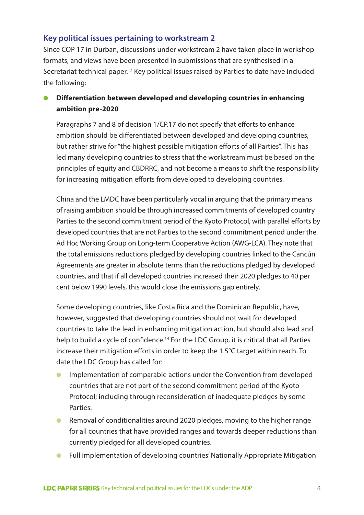## **Key political issues pertaining to workstream 2**

Since COP 17 in Durban, discussions under workstream 2 have taken place in workshop formats, and views have been presented in submissions that are synthesised in a Secretariat technical paper.13 Key political issues raised by Parties to date have included the following:

## **Differentiation between developed and developing countries in enhancing ambition pre-2020**

Paragraphs 7 and 8 of decision 1/CP.17 do not specify that efforts to enhance ambition should be differentiated between developed and developing countries, but rather strive for "the highest possible mitigation efforts of all Parties". This has led many developing countries to stress that the workstream must be based on the principles of equity and CBDRRC, and not become a means to shift the responsibility for increasing mitigation efforts from developed to developing countries.

China and the LMDC have been particularly vocal in arguing that the primary means of raising ambition should be through increased commitments of developed country Parties to the second commitment period of the Kyoto Protocol, with parallel efforts by developed countries that are not Parties to the second commitment period under the Ad Hoc Working Group on Long-term Cooperative Action (AWG-LCA). They note that the total emissions reductions pledged by developing countries linked to the Cancún Agreements are greater in absolute terms than the reductions pledged by developed countries, and that if all developed countries increased their 2020 pledges to 40 per cent below 1990 levels, this would close the emissions gap entirely.

Some developing countries, like Costa Rica and the Dominican Republic, have, however, suggested that developing countries should not wait for developed countries to take the lead in enhancing mitigation action, but should also lead and help to build a cycle of confidence.<sup>14</sup> For the LDC Group, it is critical that all Parties increase their mitigation efforts in order to keep the 1.5°C target within reach. To date the LDC Group has called for:

- Implementation of comparable actions under the Convention from developed countries that are not part of the second commitment period of the Kyoto Protocol; including through reconsideration of inadequate pledges by some **Parties**
- Removal of conditionalities around 2020 pledges, moving to the higher range for all countries that have provided ranges and towards deeper reductions than currently pledged for all developed countries.
- Full implementation of developing countries' Nationally Appropriate Mitigation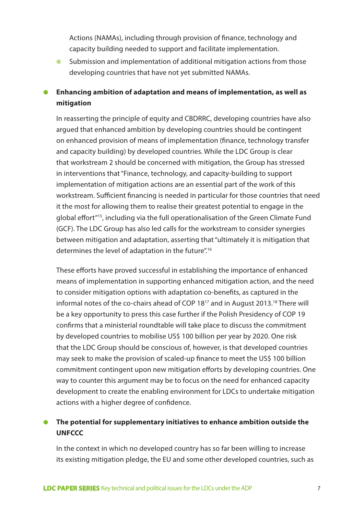Actions (NAMAs), including through provision of finance, technology and capacity building needed to support and facilitate implementation.

● Submission and implementation of additional mitigation actions from those developing countries that have not yet submitted NAMAs.

## ● **Enhancing ambition of adaptation and means of implementation, as well as mitigation**

In reasserting the principle of equity and CBDRRC, developing countries have also argued that enhanced ambition by developing countries should be contingent on enhanced provision of means of implementation (finance, technology transfer and capacity building) by developed countries. While the LDC Group is clear that workstream 2 should be concerned with mitigation, the Group has stressed in interventions that "Finance, technology, and capacity-building to support implementation of mitigation actions are an essential part of the work of this workstream. Sufficient financing is needed in particular for those countries that need it the most for allowing them to realise their greatest potential to engage in the global effort"15, including via the full operationalisation of the Green Climate Fund (GCF). The LDC Group has also led calls for the workstream to consider synergies between mitigation and adaptation, asserting that "ultimately it is mitigation that determines the level of adaptation in the future".<sup>16</sup>

These efforts have proved successful in establishing the importance of enhanced means of implementation in supporting enhanced mitigation action, and the need to consider mitigation options with adaptation co-benefits, as captured in the informal notes of the co-chairs ahead of COP 18<sup>17</sup> and in August 2013.<sup>18</sup> There will be a key opportunity to press this case further if the Polish Presidency of COP 19 confirms that a ministerial roundtable will take place to discuss the commitment by developed countries to mobilise US\$ 100 billion per year by 2020. One risk that the LDC Group should be conscious of, however, is that developed countries may seek to make the provision of scaled-up finance to meet the US\$ 100 billion commitment contingent upon new mitigation efforts by developing countries. One way to counter this argument may be to focus on the need for enhanced capacity development to create the enabling environment for LDCs to undertake mitigation actions with a higher degree of confidence.

## ● **The potential for supplementary initiatives to enhance ambition outside the UNFCCC**

In the context in which no developed country has so far been willing to increase its existing mitigation pledge, the EU and some other developed countries, such as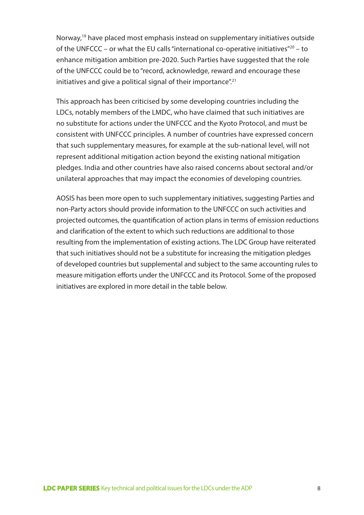Norway,<sup>19</sup> have placed most emphasis instead on supplementary initiatives outside of the UNFCCC – or what the EU calls "international co-operative initiatives"20 – to enhance mitigation ambition pre-2020. Such Parties have suggested that the role of the UNFCCC could be to "record, acknowledge, reward and encourage these initiatives and give a political signal of their importance".<sup>21</sup>

This approach has been criticised by some developing countries including the LDCs, notably members of the LMDC, who have claimed that such initiatives are no substitute for actions under the UNFCCC and the Kyoto Protocol, and must be consistent with UNFCCC principles. A number of countries have expressed concern that such supplementary measures, for example at the sub-national level, will not represent additional mitigation action beyond the existing national mitigation pledges. India and other countries have also raised concerns about sectoral and/or unilateral approaches that may impact the economies of developing countries.

AOSIS has been more open to such supplementary initiatives, suggesting Parties and non-Party actors should provide information to the UNFCCC on such activities and projected outcomes, the quantification of action plans in terms of emission reductions and clarification of the extent to which such reductions are additional to those resulting from the implementation of existing actions. The LDC Group have reiterated that such initiatives should not be a substitute for increasing the mitigation pledges of developed countries but supplemental and subject to the same accounting rules to measure mitigation efforts under the UNFCCC and its Protocol. Some of the proposed initiatives are explored in more detail in the table below.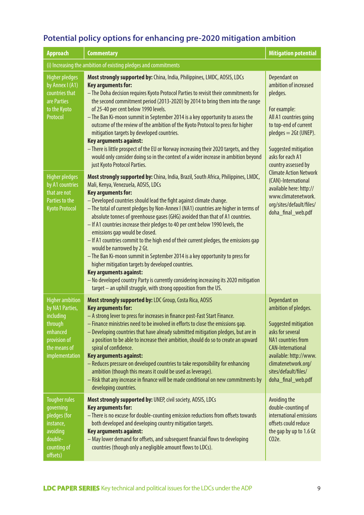# **Potential policy options for enhancing pre-2020 mitigation ambition**

| <b>Approach</b>                                                                                                                 | <b>Commentary</b>                                                                                                                                                                                                                                                                                                                                                                                                                                                                                                                                                                                                                                                                                                                                                                                                                                                                                                                                                          | <b>Mitigation potential</b>                                                                                                                                                                                                       |  |  |
|---------------------------------------------------------------------------------------------------------------------------------|----------------------------------------------------------------------------------------------------------------------------------------------------------------------------------------------------------------------------------------------------------------------------------------------------------------------------------------------------------------------------------------------------------------------------------------------------------------------------------------------------------------------------------------------------------------------------------------------------------------------------------------------------------------------------------------------------------------------------------------------------------------------------------------------------------------------------------------------------------------------------------------------------------------------------------------------------------------------------|-----------------------------------------------------------------------------------------------------------------------------------------------------------------------------------------------------------------------------------|--|--|
|                                                                                                                                 | (i) Increasing the ambition of existing pledges and commitments                                                                                                                                                                                                                                                                                                                                                                                                                                                                                                                                                                                                                                                                                                                                                                                                                                                                                                            |                                                                                                                                                                                                                                   |  |  |
| <b>Higher pledges</b><br>by Annex I (A1)<br>countries that<br>are Parties<br>to the Kyoto<br>Protocol                           | Most strongly supported by: China, India, Philippines, LMDC, AOSIS, LDCs<br>Key arguments for:<br>- The Doha decision requires Kyoto Protocol Parties to revisit their commitments for<br>the second commitment period (2013-2020) by 2014 to bring them into the range<br>of 25-40 per cent below 1990 levels.<br>- The Ban Ki-moon summit in September 2014 is a key opportunity to assess the<br>outcome of the review of the ambition of the Kyoto Protocol to press for higher<br>mitigation targets by developed countries.<br><b>Key arguments against:</b><br>- There is little prospect of the EU or Norway increasing their 2020 targets, and they<br>would only consider doing so in the context of a wider increase in ambition beyond<br>just Kyoto Protocol Parties.                                                                                                                                                                                         | Dependant on<br>ambition of increased<br>pledges.<br>For example:<br>All A1 countries going<br>to top-end of current<br>$p$ ledges = $2$ Gt (UNEP).<br>Suggested mitigation<br>asks for each A1<br>country assessed by            |  |  |
| <b>Higher pledges</b><br>by A1 countries<br>that are not<br>Parties to the<br><b>Kyoto Protocol</b>                             | Most strongly supported by: China, India, Brazil, South Africa, Philippines, LMDC,<br>Mali, Kenya, Venezuela, AOSIS, LDCs<br><b>Key arguments for:</b><br>- Developed countries should lead the fight against climate change.<br>- The total of current pledges by Non-Annex I (NA1) countries are higher in terms of<br>absolute tonnes of greenhouse gases (GHG) avoided than that of A1 countries.<br>- If A1 countries increase their pledges to 40 per cent below 1990 levels, the<br>emissions gap would be closed.<br>- If A1 countries commit to the high end of their current pledges, the emissions gap<br>would be narrowed by 2 Gt.<br>- The Ban Ki-moon summit in September 2014 is a key opportunity to press for<br>higher mitigation targets by developed countries.<br>Key arguments against:<br>- No developed country Party is currently considering increasing its 2020 mitigation<br>target - an uphill struggle, with strong opposition from the US. | <b>Climate Action Network</b><br>(CAN)-International<br>available here: http://<br>www.climatenetwork.<br>org/sites/default/files/<br>doha_final_web.pdf                                                                          |  |  |
| <b>Higher ambition</b><br>by NA1 Parties,<br>including<br>through<br>enhanced<br>provision of<br>the means of<br>implementation | Most strongly supported by: LDC Group, Costa Rica, AOSIS<br><b>Key arguments for:</b><br>- A strong lever to press for increases in finance post-Fast Start Finance.<br>- Finance ministries need to be involved in efforts to close the emissions gap.<br>- Developing countries that have already submitted mitigation pledges, but are in<br>a position to be able to increase their ambition, should do so to create an upward<br>spiral of confidence.<br>Key arguments against:<br>- Reduces pressure on developed countries to take responsibility for enhancing<br>ambition (though this means it could be used as leverage).<br>- Risk that any increase in finance will be made conditional on new commitments by<br>developing countries.                                                                                                                                                                                                                       | Dependant on<br>ambition of pledges.<br>Suggested mitigation<br>asks for several<br>NA1 countries from<br><b>CAN-International</b><br>available: http://www.<br>climatenetwork.org/<br>sites/default/files/<br>doha_final_web.pdf |  |  |
| <b>Tougher rules</b><br>governing<br>pledges (for<br>instance,<br>avoiding<br>double-<br>counting of<br>offsets)                | Most strongly supported by: UNEP, civil society, AOSIS, LDCs<br><b>Key arguments for:</b><br>- There is no excuse for double-counting emission reductions from offsets towards<br>both developed and developing country mitigation targets.<br><b>Key arguments against:</b><br>- May lower demand for offsets, and subsequent financial flows to developing<br>countries (though only a negligible amount flows to LDCs).                                                                                                                                                                                                                                                                                                                                                                                                                                                                                                                                                 | Avoiding the<br>double-counting of<br>international emissions<br>offsets could reduce<br>the gap by up to 1.6 Gt<br>C <sub>02</sub> e.                                                                                            |  |  |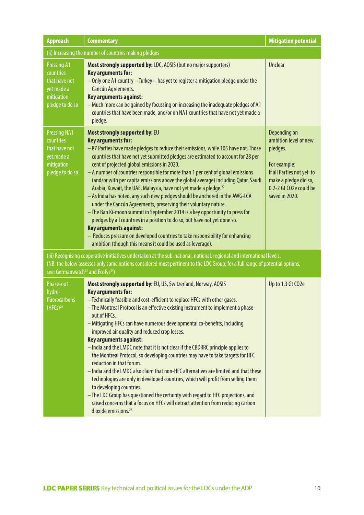| <b>Approach</b>                                                                                                                                                                                                                                                                                                     | <b>Commentary</b>                                                                                                                                                                                                                                                                                                                                                                                                                                                                                                                                                                                                                                                                                                                                                                                                                                                                                                                                                                                                                                                      | <b>Mitigation potential</b>                                                                                                                                         |  |
|---------------------------------------------------------------------------------------------------------------------------------------------------------------------------------------------------------------------------------------------------------------------------------------------------------------------|------------------------------------------------------------------------------------------------------------------------------------------------------------------------------------------------------------------------------------------------------------------------------------------------------------------------------------------------------------------------------------------------------------------------------------------------------------------------------------------------------------------------------------------------------------------------------------------------------------------------------------------------------------------------------------------------------------------------------------------------------------------------------------------------------------------------------------------------------------------------------------------------------------------------------------------------------------------------------------------------------------------------------------------------------------------------|---------------------------------------------------------------------------------------------------------------------------------------------------------------------|--|
|                                                                                                                                                                                                                                                                                                                     | (ii) Increasing the number of countries making pledges                                                                                                                                                                                                                                                                                                                                                                                                                                                                                                                                                                                                                                                                                                                                                                                                                                                                                                                                                                                                                 |                                                                                                                                                                     |  |
| <b>Pressing A1</b><br>countries<br>that have not<br>yet made a<br>mitigation<br>pledge to do so                                                                                                                                                                                                                     | Most strongly supported by: LDC, AOSIS (but no major supporters)<br><b>Key arguments for:</b><br>- Only one A1 country - Turkey - has yet to register a mitigation pledge under the<br>Cancún Agreements.<br>Key arguments against:<br>- Much more can be gained by focussing on increasing the inadequate pledges of A1<br>countries that have been made, and/or on NA1 countries that have not yet made a<br>pledge.                                                                                                                                                                                                                                                                                                                                                                                                                                                                                                                                                                                                                                                 | <b>Unclear</b>                                                                                                                                                      |  |
| <b>Pressing NA1</b><br>countries<br>that have not<br>yet made a<br>mitigation<br>pledge to do so                                                                                                                                                                                                                    | Most strongly supported by: EU<br><b>Key arguments for:</b><br>-87 Parties have made pledges to reduce their emissions, while 105 have not. Those<br>countries that have not yet submitted pledges are estimated to account for 28 per<br>cent of projected global emissions in 2020.<br>- A number of countries responsible for more than 1 per cent of global emissions<br>(and/or with per capita emissions above the global average) including Qatar, Saudi<br>Arabia, Kuwait, the UAE, Malaysia, have not yet made a pledge. <sup>22</sup><br>- As India has noted, any such new pledges should be anchored in the AWG-LCA<br>under the Cancún Agreements, preserving their voluntary nature.<br>- The Ban Ki-moon summit in September 2014 is a key opportunity to press for<br>pledges by all countries in a position to do so, but have not yet done so.<br><b>Key arguments against:</b><br>- Reduces pressure on developed countries to take responsibility for enhancing<br>ambition (though this means it could be used as leverage).                      | Depending on<br>ambition level of new<br>pledges.<br>For example:<br>If all Parties not yet to<br>make a pledge did so,<br>0.2-2 Gt CO2e could be<br>saved in 2020. |  |
| (iii) Recognising cooperative initiatives undertaken at the sub-national, national, regional and international levels.<br>(NB: the below assesses only some options considered most pertinent to the LDC Group; for a full range of potential options,<br>see: Germanwatch <sup>23</sup> and Ecofys <sup>24</sup> ) |                                                                                                                                                                                                                                                                                                                                                                                                                                                                                                                                                                                                                                                                                                                                                                                                                                                                                                                                                                                                                                                                        |                                                                                                                                                                     |  |
| Phase-out<br>hydro-<br>fluorocarbons<br>$(HFCs)^{25}$                                                                                                                                                                                                                                                               | Most strongly supported by: EU, US, Switzerland, Norway, AOSIS<br><b>Key arguments for:</b><br>- Technically feasible and cost-efficient to replace HFCs with other gases.<br>- The Montreal Protocol is an effective existing instrument to implement a phase-<br>out of HFCs.<br>- Mitigating HFCs can have numerous developmental co-benefits, including<br>improved air quality and reduced crop losses.<br><b>Key arguments against:</b><br>- India and the LMDC note that it is not clear if the CBDRRC principle applies to<br>the Montreal Protocol, so developing countries may have to take targets for HFC<br>reduction in that forum.<br>- India and the LMDC also claim that non-HFC alternatives are limited and that these<br>technologies are only in developed countries, which will profit from selling them<br>to developing countries.<br>- The LDC Group has questioned the certainty with regard to HFC projections, and<br>raised concerns that a focus on HFCs will detract attention from reducing carbon<br>dioxide emissions. <sup>26</sup> | Up to 1.3 Gt CO2e                                                                                                                                                   |  |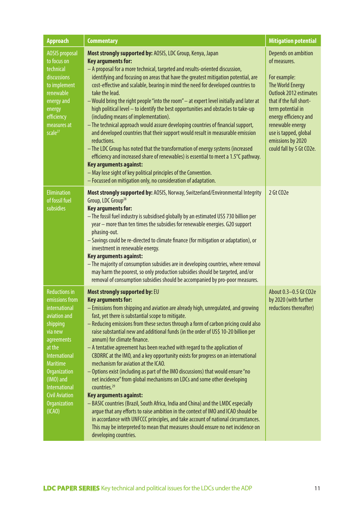| <b>Approach</b>                                                                                                                                                                                                                                                           | <b>Commentary</b>                                                                                                                                                                                                                                                                                                                                                                                                                                                                                                                                                                                                                                                                                                                                                                                                                                                                                                                                                                                                                                                                                                                                                                                                                 | <b>Mitigation potential</b>                                                                                                                                                                                                                                                     |
|---------------------------------------------------------------------------------------------------------------------------------------------------------------------------------------------------------------------------------------------------------------------------|-----------------------------------------------------------------------------------------------------------------------------------------------------------------------------------------------------------------------------------------------------------------------------------------------------------------------------------------------------------------------------------------------------------------------------------------------------------------------------------------------------------------------------------------------------------------------------------------------------------------------------------------------------------------------------------------------------------------------------------------------------------------------------------------------------------------------------------------------------------------------------------------------------------------------------------------------------------------------------------------------------------------------------------------------------------------------------------------------------------------------------------------------------------------------------------------------------------------------------------|---------------------------------------------------------------------------------------------------------------------------------------------------------------------------------------------------------------------------------------------------------------------------------|
| <b>AOSIS</b> proposal<br>to focus on<br>technical<br>discussions<br>to implement<br>renewable<br>energy and<br>energy<br>efficiency<br>measures at<br>scale <sup>27</sup>                                                                                                 | Most strongly supported by: AOSIS, LDC Group, Kenya, Japan<br><b>Key arguments for:</b><br>- A proposal for a more technical, targeted and results-oriented discussion,<br>identifying and focusing on areas that have the greatest mitigation potential, are<br>cost-effective and scalable, bearing in mind the need for developed countries to<br>take the lead.<br>- Would bring the right people "into the room" - at expert level initially and later at<br>high political level - to identify the best opportunities and obstacles to take-up<br>(including means of implementation).<br>- The technical approach would assure developing countries of financial support,<br>and developed countries that their support would result in measurable emission<br>reductions.<br>- The LDC Group has noted that the transformation of energy systems (increased<br>efficiency and increased share of renewables) is essential to meet a 1.5°C pathway.<br><b>Key arguments against:</b><br>- May lose sight of key political principles of the Convention.<br>- Focussed on mitigation only, no consideration of adaptation.                                                                                                  | <b>Depends on ambition</b><br>of measures.<br>For example:<br>The World Energy<br>Outlook 2012 estimates<br>that if the full short-<br>term potential in<br>energy efficiency and<br>renewable energy<br>use is tapped, global<br>emissions by 2020<br>could fall by 5 Gt CO2e. |
| <b>Elimination</b><br>of fossil fuel<br>subsidies                                                                                                                                                                                                                         | Most strongly supported by: AOSIS, Norway, Switzerland/Environmental Integrity<br>Group, LDC Group <sup>28</sup><br><b>Key arguments for:</b><br>- The fossil fuel industry is subsidised globally by an estimated US\$ 730 billion per<br>year - more than ten times the subsidies for renewable energies. G20 support<br>phasing-out.<br>- Savings could be re-directed to climate finance (for mitigation or adaptation), or<br>investment in renewable energy.<br>Key arguments against:<br>- The majority of consumption subsidies are in developing countries, where removal<br>may harm the poorest, so only production subsidies should be targeted, and/or<br>removal of consumption subsidies should be accompanied by pro-poor measures.                                                                                                                                                                                                                                                                                                                                                                                                                                                                               | 2 Gt CO2e                                                                                                                                                                                                                                                                       |
| <b>Reductions in</b><br>emissions from<br>international<br>aviation and<br>shipping<br>via new<br>agreements<br>at the<br>International<br><b>Maritime</b><br><b>Organization</b><br>(IMO) and<br>International<br><b>Civil Aviation</b><br><b>Organization</b><br>(ICAO) | Most strongly supported by: EU<br><b>Key arguments for:</b><br>- Emissions from shipping and aviation are already high, unregulated, and growing<br>fast, yet there is substantial scope to mitigate.<br>- Reducing emissions from these sectors through a form of carbon pricing could also<br>raise substantial new and additional funds (in the order of US\$ 10-20 billion per<br>annum) for climate finance.<br>- A tentative agreement has been reached with regard to the application of<br>CBDRRC at the IMO, and a key opportunity exists for progress on an international<br>mechanism for aviation at the ICAO.<br>- Options exist (including as part of the IMO discussions) that would ensure "no<br>net incidence" from global mechanisms on LDCs and some other developing<br>countries. <sup>29</sup><br><b>Key arguments against:</b><br>- BASIC countries (Brazil, South Africa, India and China) and the LMDC especially<br>argue that any efforts to raise ambition in the context of IMO and ICAO should be<br>in accordance with UNFCCC principles, and take account of national circumstances.<br>This may be interpreted to mean that measures should ensure no net incidence on<br>developing countries. | About 0.3-0.5 Gt CO2e<br>by 2020 (with further<br>reductions thereafter)                                                                                                                                                                                                        |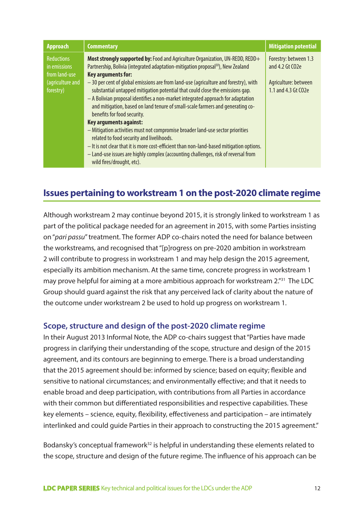| <b>Approach</b>                                                                     | <b>Commentary</b>                                                                                                                                                                                                                                                                                                                                                                                                                                                                                                                                                                                                                                                                                                                                                                                                                     | <b>Mitigation potential</b>                                                             |
|-------------------------------------------------------------------------------------|---------------------------------------------------------------------------------------------------------------------------------------------------------------------------------------------------------------------------------------------------------------------------------------------------------------------------------------------------------------------------------------------------------------------------------------------------------------------------------------------------------------------------------------------------------------------------------------------------------------------------------------------------------------------------------------------------------------------------------------------------------------------------------------------------------------------------------------|-----------------------------------------------------------------------------------------|
| <b>Reductions</b><br>in emissions<br>from land-use<br>(agriculture and<br>forestry) | Most strongly supported by: Food and Agriculture Organization, UN-REDD, REDD+<br>Partnership, Bolivia (integrated adaptation-mitigation proposal <sup>30</sup> ), New Zealand<br>Key arguments for:<br>-30 per cent of global emissions are from land-use (agriculture and forestry), with<br>substantial untapped mitigation potential that could close the emissions gap.<br>- A Bolivian proposal identifies a non-market integrated approach for adaptation<br>and mitigation, based on land tenure of small-scale farmers and generating co-<br>benefits for food security.<br>Key arguments against:<br>- Mitigation activities must not compromise broader land-use sector priorities<br>related to food security and livelihoods.<br>- It is not clear that it is more cost-efficient than non-land-based mitigation options. | Forestry: between 1.3<br>and 4.2 Gt CO2e<br>Agriculture: between<br>1.1 and 4.3 Gt CO2e |
|                                                                                     | - Land-use issues are highly complex (accounting challenges, risk of reversal from<br>wild fires/drought, etc).                                                                                                                                                                                                                                                                                                                                                                                                                                                                                                                                                                                                                                                                                                                       |                                                                                         |

# **Issues pertaining to workstream 1 on the post-2020 climate regime**

Although workstream 2 may continue beyond 2015, it is strongly linked to workstream 1 as part of the political package needed for an agreement in 2015, with some Parties insisting on "*pari passu*" treatment. The former ADP co-chairs noted the need for balance between the workstreams, and recognised that "[p]rogress on pre-2020 ambition in workstream 2 will contribute to progress in workstream 1 and may help design the 2015 agreement, especially its ambition mechanism. At the same time, concrete progress in workstream 1 may prove helpful for aiming at a more ambitious approach for workstream 2."<sup>31</sup> The LDC Group should guard against the risk that any perceived lack of clarity about the nature of the outcome under workstream 2 be used to hold up progress on workstream 1.

## **Scope, structure and design of the post-2020 climate regime**

In their August 2013 Informal Note, the ADP co-chairs suggest that "Parties have made progress in clarifying their understanding of the scope, structure and design of the 2015 agreement, and its contours are beginning to emerge. There is a broad understanding that the 2015 agreement should be: informed by science; based on equity; flexible and sensitive to national circumstances; and environmentally effective; and that it needs to enable broad and deep participation, with contributions from all Parties in accordance with their common but differentiated responsibilities and respective capabilities. These key elements – science, equity, flexibility, effectiveness and participation – are intimately interlinked and could guide Parties in their approach to constructing the 2015 agreement."

Bodansky's conceptual framework<sup>32</sup> is helpful in understanding these elements related to the scope, structure and design of the future regime. The influence of his approach can be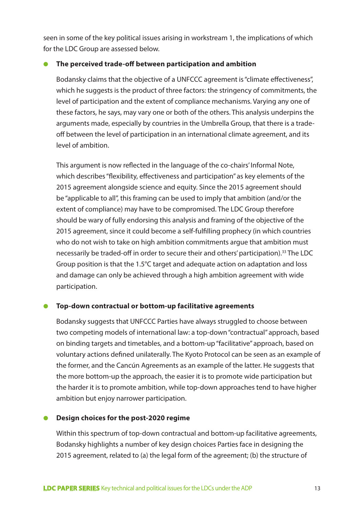seen in some of the key political issues arising in workstream 1, the implications of which for the LDC Group are assessed below.

#### ● **The perceived trade-off between participation and ambition**

Bodansky claims that the objective of a UNFCCC agreement is "climate effectiveness", which he suggests is the product of three factors: the stringency of commitments, the level of participation and the extent of compliance mechanisms. Varying any one of these factors, he says, may vary one or both of the others. This analysis underpins the arguments made, especially by countries in the Umbrella Group, that there is a tradeoff between the level of participation in an international climate agreement, and its level of ambition.

This argument is now reflected in the language of the co-chairs' Informal Note, which describes "flexibility, effectiveness and participation" as key elements of the 2015 agreement alongside science and equity. Since the 2015 agreement should be "applicable to all", this framing can be used to imply that ambition (and/or the extent of compliance) may have to be compromised. The LDC Group therefore should be wary of fully endorsing this analysis and framing of the objective of the 2015 agreement, since it could become a self-fulfilling prophecy (in which countries who do not wish to take on high ambition commitments argue that ambition must necessarily be traded-off in order to secure their and others' participation).33 The LDC Group position is that the 1.5°C target and adequate action on adaptation and loss and damage can only be achieved through a high ambition agreement with wide participation.

#### ● **Top-down contractual or bottom-up facilitative agreements**

Bodansky suggests that UNFCCC Parties have always struggled to choose between two competing models of international law: a top-down "contractual" approach, based on binding targets and timetables, and a bottom-up "facilitative" approach, based on voluntary actions defined unilaterally. The Kyoto Protocol can be seen as an example of the former, and the Cancún Agreements as an example of the latter. He suggests that the more bottom-up the approach, the easier it is to promote wide participation but the harder it is to promote ambition, while top-down approaches tend to have higher ambition but enjoy narrower participation.

#### ● **Design choices for the post-2020 regime**

Within this spectrum of top-down contractual and bottom-up facilitative agreements, Bodansky highlights a number of key design choices Parties face in designing the 2015 agreement, related to (a) the legal form of the agreement; (b) the structure of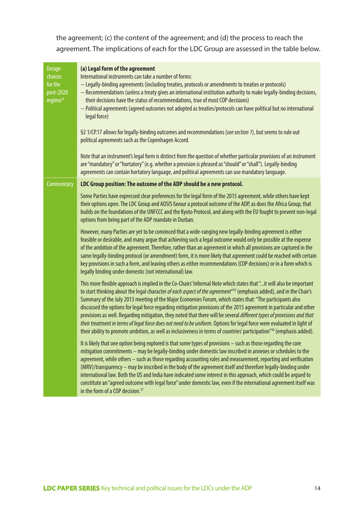the agreement; (c) the content of the agreement; and (d) the process to reach the agreement. The implications of each for the LDC Group are assessed in the table below.

| <b>Design</b><br>choices<br>for the<br>post-2020<br>regime <sup>34</sup> | (a) Legal form of the agreement<br>International instruments can take a number of forms:<br>- Legally-binding agreements (including treaties, protocols or amendments to treaties or protocols)<br>- Recommendations (unless a treaty gives an international institution authority to make legally-binding decisions,<br>their decisions have the status of recommendations, true of most COP decisions)<br>- Political agreements (agreed outcomes not adopted as treaties/protocols can have political but no international<br>legal force)<br>§2 1/CP.17 allows for legally-binding outcomes and recommendations (see section 1), but seems to rule out<br>political agreements such as the Copenhagen Accord.<br>Note that an instrument's legal form is distinct from the question of whether particular provisions of an instrument<br>are "mandatory" or "hortatory" (e.g. whether a provision is phrased as "should" or "shall"). Legally-binding<br>agreements can contain hortatory language, and political agreements can use mandatory language. |
|--------------------------------------------------------------------------|--------------------------------------------------------------------------------------------------------------------------------------------------------------------------------------------------------------------------------------------------------------------------------------------------------------------------------------------------------------------------------------------------------------------------------------------------------------------------------------------------------------------------------------------------------------------------------------------------------------------------------------------------------------------------------------------------------------------------------------------------------------------------------------------------------------------------------------------------------------------------------------------------------------------------------------------------------------------------------------------------------------------------------------------------------------|
| <b>Commentary</b>                                                        | LDC Group position: The outcome of the ADP should be a new protocol.                                                                                                                                                                                                                                                                                                                                                                                                                                                                                                                                                                                                                                                                                                                                                                                                                                                                                                                                                                                         |
|                                                                          | Some Parties have expressed clear preferences for the legal form of the 2015 agreement, while others have kept<br>their options open. The LDC Group and AOSIS favour a protocol outcome of the ADP, as does the Africa Group, that<br>builds on the foundations of the UNFCCC and the Kyoto Protocol, and along with the EU fought to prevent non-legal<br>options from being part of the ADP mandate in Durban.                                                                                                                                                                                                                                                                                                                                                                                                                                                                                                                                                                                                                                             |
|                                                                          | However, many Parties are yet to be convinced that a wide-ranging new legally-binding agreement is either<br>feasible or desirable, and many argue that achieving such a legal outcome would only be possible at the expense<br>of the ambition of the agreement. Therefore, rather than an agreement in which all provisions are captured in the<br>same legally-binding protocol (or amendment) form, it is more likely that agreement could be reached with certain<br>key provisions in such a form, and leaving others as either recommendations (COP decisions) or in a form which is<br>legally binding under domestic (not international) law.                                                                                                                                                                                                                                                                                                                                                                                                       |
|                                                                          | This more flexible approach is implied in the Co-Chairs' Informal Note which states that "it will also be important<br>to start thinking about the legal character of each aspect of the agreement" <sup>35</sup> (emphasis added), and in the Chair's<br>Summary of the July 2013 meeting of the Major Economies Forum, which states that: "The participants also<br>discussed the options for legal force regarding mitigation provisions of the 2015 agreement in particular and other<br>provisions as well. Regarding mitigation, they noted that there will be several different types of provisions and that<br>their treatment in terms of legal force does not need to be uniform. Options for legal force were evaluated in light of<br>their ability to promote ambition, as well as inclusiveness in terms of countries' participation"36 (emphasis added).                                                                                                                                                                                      |
|                                                                          | It is likely that one option being explored is that some types of provisions - such as those regarding the core<br>mitigation commitments - may be legally-binding under domestic law inscribed in annexes or schedules to the<br>agreement, while others - such as those regarding accounting rules and measurement, reporting and verification<br>(MRV)/transparency – may be inscribed in the body of the agreement itself and therefore legally-binding under<br>international law. Both the US and India have indicated some interest in this approach, which could be argued to<br>constitute an "agreed outcome with legal force" under domestic law, even if the international agreement itself was<br>in the form of a COP decision. <sup>37</sup>                                                                                                                                                                                                                                                                                                  |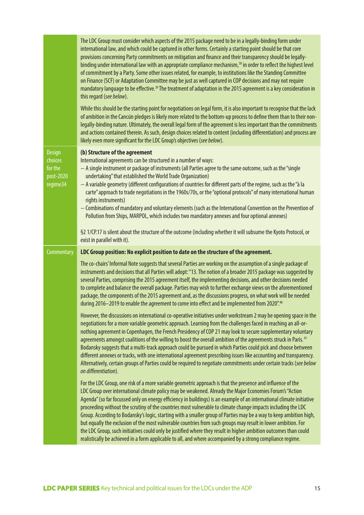|                                                              | The LDC Group must consider which aspects of the 2015 package need to be in a legally-binding form under<br>international law, and which could be captured in other forms. Certainly a starting point should be that core<br>provisions concerning Party commitments on mitigation and finance and their transparency should be legally-<br>binding under international law with an appropriate compliance mechanism, <sup>38</sup> in order to reflect the highest level<br>of commitment by a Party. Some other issues related, for example, to institutions like the Standing Committee<br>on Finance (SCF) or Adaptation Committee may be just as well captured in COP decisions and may not require<br>mandatory language to be effective. <sup>39</sup> The treatment of adaptation in the 2015 agreement is a key consideration in<br>this regard (see below).<br>While this should be the starting point for negotiations on legal form, it is also important to recognise that the lack |
|--------------------------------------------------------------|--------------------------------------------------------------------------------------------------------------------------------------------------------------------------------------------------------------------------------------------------------------------------------------------------------------------------------------------------------------------------------------------------------------------------------------------------------------------------------------------------------------------------------------------------------------------------------------------------------------------------------------------------------------------------------------------------------------------------------------------------------------------------------------------------------------------------------------------------------------------------------------------------------------------------------------------------------------------------------------------------|
|                                                              | of ambition in the Cancún pledges is likely more related to the bottom-up process to define them than to their non-<br>legally-binding nature. Ultimately, the overall legal form of the agreement is less important than the commitments<br>and actions contained therein. As such, design choices related to content (including differentiation) and process are<br>likely even more significant for the LDC Group's objectives (see below).                                                                                                                                                                                                                                                                                                                                                                                                                                                                                                                                                   |
| <b>Design</b><br>choices<br>for the<br>post-2020<br>regime34 | (b) Structure of the agreement<br>International agreements can be structured in a number of ways:<br>- A single instrument or package of instruments (all Parties agree to the same outcome, such as the "single<br>undertaking" that established the World Trade Organization)<br>- A variable geometry (different configurations of countries for different parts of the regime, such as the "à la<br>carte" approach to trade negotiations in the 1960s/70s, or the "optional protocols" of many international human<br>rights instruments)<br>- Combinations of mandatory and voluntary elements (such as the International Convention on the Prevention of<br>Pollution from Ships, MARPOL, which includes two mandatory annexes and four optional annexes)<br>§2 1/CP.17 is silent about the structure of the outcome (including whether it will subsume the Kyoto Protocol, or                                                                                                            |
|                                                              | exist in parallel with it).                                                                                                                                                                                                                                                                                                                                                                                                                                                                                                                                                                                                                                                                                                                                                                                                                                                                                                                                                                      |
| Commentary                                                   | LDC Group position: No explicit position to date on the structure of the agreement.                                                                                                                                                                                                                                                                                                                                                                                                                                                                                                                                                                                                                                                                                                                                                                                                                                                                                                              |
|                                                              |                                                                                                                                                                                                                                                                                                                                                                                                                                                                                                                                                                                                                                                                                                                                                                                                                                                                                                                                                                                                  |
|                                                              | The co-chairs' Informal Note suggests that several Parties are working on the assumption of a single package of<br>instruments and decisions that all Parties will adopt: "13. The notion of a broader 2015 package was suggested by<br>several Parties, comprising the 2015 agreement itself, the implementing decisions, and other decisions needed<br>to complete and balance the overall package. Parties may wish to further exchange views on the aforementioned<br>package, the components of the 2015 agreement and, as the discussions progress, on what work will be needed<br>during 2016-2019 to enable the agreement to come into effect and be implemented from 2020".40                                                                                                                                                                                                                                                                                                           |
|                                                              | However, the discussions on international co-operative initiatives under workstream 2 may be opening space in the<br>negotiations for a more variable geometric approach. Learning from the challenges faced in reaching an all-or-<br>nothing agreement in Copenhagen, the French Presidency of COP 21 may look to secure supplementary voluntary<br>agreements amongst coalitions of the willing to boost the overall ambition of the agreements struck in Paris. <sup>41</sup><br>Bodansky suggests that a multi-track approach could be pursued in which Parties could pick and choose between<br>different annexes or tracks, with one international agreement prescribing issues like accounting and transparency.<br>Alternatively, certain groups of Parties could be required to negotiate commitments under certain tracks (see below<br>on differentiation).                                                                                                                          |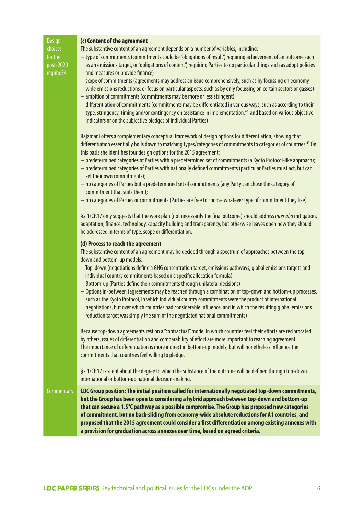| <b>Design</b><br>choices<br>for the<br>post-2020<br>regime34 | (c) Content of the agreement<br>The substantive content of an agreement depends on a number of variables, including:<br>- type of commitments (commitments could be "obligations of result", requiring achievement of an outcome such<br>as an emissions target, or "obligations of content", requiring Parties to do particular things such as adopt policies<br>and measures or provide finance)<br>- scope of commitments (agreements may address an issue comprehensively, such as by focussing on economy-<br>wide emissions reductions, or focus on particular aspects, such as by only focussing on certain sectors or gasses)<br>- ambition of commitments (commitments may be more or less stringent)<br>- differentiation of commitments (commitments may be differentiated in various ways, such as according to their<br>type, stringency, timing and/or contingency on assistance in implementation, <sup>42</sup> and based on various objective<br>indicators or on the subjective pledges of individual Parties)<br>Rajamani offers a complementary conceptual framework of design options for differentiation, showing that |
|--------------------------------------------------------------|----------------------------------------------------------------------------------------------------------------------------------------------------------------------------------------------------------------------------------------------------------------------------------------------------------------------------------------------------------------------------------------------------------------------------------------------------------------------------------------------------------------------------------------------------------------------------------------------------------------------------------------------------------------------------------------------------------------------------------------------------------------------------------------------------------------------------------------------------------------------------------------------------------------------------------------------------------------------------------------------------------------------------------------------------------------------------------------------------------------------------------------------|
|                                                              | differentiation essentially boils down to matching types/categories of commitments to categories of countries. <sup>43</sup> On<br>this basis she identifies four design options for the 2015 agreement:<br>- predetermined categories of Parties with a predetermined set of commitments (a Kyoto Protocol-like approach);<br>- predetermined categories of Parties with nationally defined commitments (particular Parties must act, but can<br>set their own commitments);<br>- no categories of Parties but a predetermined set of commitments (any Party can chose the category of<br>commitment that suits them);<br>- no categories of Parties or commitments (Parties are free to choose whatever type of commitment they like).                                                                                                                                                                                                                                                                                                                                                                                                     |
|                                                              | §2 1/CP.17 only suggests that the work plan (not necessarily the final outcome) should address inter alia mitigation,<br>adaptation, finance, technology, capacity building and transparency, but otherwise leaves open how they should<br>be addressed in terms of type, scope or differentiation.                                                                                                                                                                                                                                                                                                                                                                                                                                                                                                                                                                                                                                                                                                                                                                                                                                          |
|                                                              | (d) Process to reach the agreement<br>The substantive content of an agreement may be decided through a spectrum of approaches between the top-<br>down and bottom-up models:<br>- Top-down (negotiations define a GHG concentration target, emissions pathways, global emissions targets and<br>individual country commitments based on a specific allocation formula)<br>- Bottom-up (Parties define their commitments through unilateral decisions)<br>- Options in-between (agreements may be reached through a combination of top-down and bottom-up processes,<br>such as the Kyoto Protocol, in which individual country commitments were the product of international<br>negotiations, but over which countries had considerable influence, and in which the resulting global emissions<br>reduction target was simply the sum of the negotiated national commitments)                                                                                                                                                                                                                                                                |
|                                                              | Because top-down agreements rest on a "contractual" model in which countries feel their efforts are reciprocated<br>by others, issues of differentiation and comparability of effort are more important to reaching agreement.<br>The importance of differentiation is more indirect in bottom-up models, but will nonetheless influence the<br>commitments that countries feel willing to pledge.                                                                                                                                                                                                                                                                                                                                                                                                                                                                                                                                                                                                                                                                                                                                           |
|                                                              | §2 1/CP.17 is silent about the degree to which the substance of the outcome will be defined through top-down<br>international or bottom-up national decision-making.                                                                                                                                                                                                                                                                                                                                                                                                                                                                                                                                                                                                                                                                                                                                                                                                                                                                                                                                                                         |
| Commentary                                                   | LDC Group position: The initial position called for internationally negotiated top-down commitments,<br>but the Group has been open to considering a hybrid approach between top-down and bottom-up<br>that can secure a 1.5°C pathway as a possible compromise. The Group has proposed new categories<br>of commitment, but no back-sliding from economy-wide absolute reductions for A1 countries, and<br>proposed that the 2015 agreement could consider a first differentiation among existing annexes with<br>a provision for graduation across annexes over time, based on agreed criteria.                                                                                                                                                                                                                                                                                                                                                                                                                                                                                                                                            |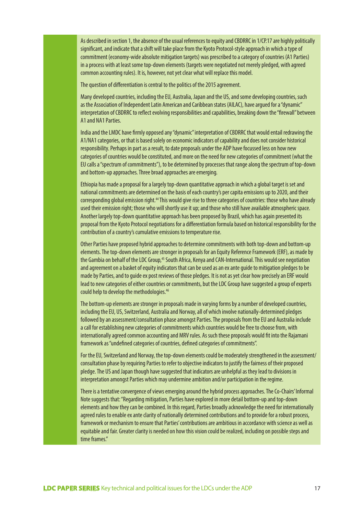As described in section 1, the absence of the usual references to equity and CBDRRC in 1/CP.17 are highly politically significant, and indicate that a shift will take place from the Kyoto Protocol-style approach in which a type of commitment (economy-wide absolute mitigation targets) was prescribed to a category of countries (A1 Parties) in a process with at least some top-down elements (targets were negotiated not merely pledged, with agreed common accounting rules). It is, however, not yet clear what will replace this model.

The question of differentiation is central to the politics of the 2015 agreement.

Many developed countries, including the EU, Australia, Japan and the US, and some developing countries, such as the Association of Independent Latin American and Caribbean states (AILAC), have argued for a "dynamic" interpretation of CBDRRC to reflect evolving responsibilities and capabilities, breaking down the "firewall" between A1 and NA1 Parties.

India and the LMDC have firmly opposed any "dynamic" interpretation of CBDRRC that would entail redrawing the A1/NA1 categories, or that is based solely on economic indicators of capability and does not consider historical responsibility. Perhaps in part as a result, to date proposals under the ADP have focussed less on how new categories of countries would be constituted, and more on the need for new categories of commitment (what the EU calls a "spectrum of commitments"), to be determined by processes that range along the spectrum of top-down and bottom-up approaches. Three broad approaches are emerging.

Ethiopia has made a proposal for a largely top-down quantitative approach in which a global target is set and national commitments are determined on the basis of each country's per capita emissions up to 2020, and their corresponding global emission right.<sup>44</sup> This would give rise to three categories of countries: those who have already used their emission right; those who will shortly use it up; and those who still have available atmospheric space. Another largely top-down quantitative approach has been proposed by Brazil, which has again presented its proposal from the Kyoto Protocol negotiations for a differentiation formula based on historical responsibility for the contribution of a country's cumulative emissions to temperature rise.

Other Parties have proposed hybrid approaches to determine commitments with both top-down and bottom-up elements. The top-down elements are stronger in proposals for an Equity Reference Framework (ERF), as made by the Gambia on behalf of the LDC Group,<sup>45</sup> South Africa, Kenya and CAN-International. This would see negotiation and agreement on a basket of equity indicators that can be used as an ex ante guide to mitigation pledges to be made by Parties, and to guide ex post reviews of those pledges. It is not as yet clear how precisely an ERF would lead to new categories of either countries or commitments, but the LDC Group have suggested a group of experts could help to develop the methodologies.46

The bottom-up elements are stronger in proposals made in varying forms by a number of developed countries, including the EU, US, Switzerland, Australia and Norway, all of which involve nationally-determined pledges followed by an assessment/consultation phase amongst Parties. The proposals from the EU and Australia include a call for establishing new categories of commitments which countries would be free to choose from, with internationally agreed common accounting and MRV rules. As such these proposals would fit into the Rajamani framework as "undefined categories of countries, defined categories of commitments".

For the EU, Switzerland and Norway, the top-down elements could be moderately strengthened in the assessment/ consultation phase by requiring Parties to refer to objective indicators to justify the fairness of their proposed pledge. The US and Japan though have suggested that indicators are unhelpful as they lead to divisions in interpretation amongst Parties which may undermine ambition and/or participation in the regime.

There is a tentative convergence of views emerging around the hybrid process approaches. The Co-Chairs' Informal Note suggests that: "Regarding mitigation, Parties have explored in more detail bottom-up and top-down elements and how they can be combined. In this regard, Parties broadly acknowledge the need for internationally agreed rules to enable ex ante clarity of nationally determined contributions and to provide for a robust process, framework or mechanism to ensure that Parties' contributions are ambitious in accordance with science as well as equitable and fair. Greater clarity is needed on how this vision could be realized, including on possible steps and time frames."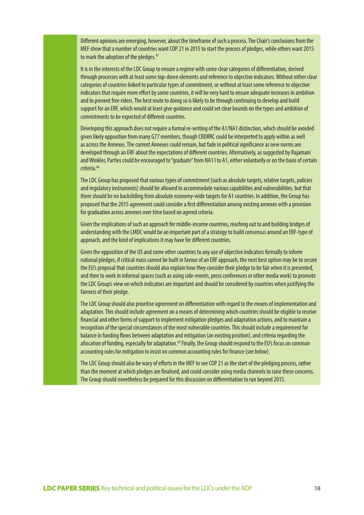Different opinions are emerging, however, about the timeframe of such a process. The Chair's conclusions from the MEF show that a number of countries want COP 21 in 2015 to start the process of pledges, while others want 2015 to mark the adoption of the pledges.<sup>47</sup>

It is in the interests of the LDC Group to ensure a regime with some clear categories of differentiation, derived through processes with at least some top-down elements and reference to objective indicators. Without either clear categories of countries linked to particular types of commitment, or without at least some reference to objective indicators that require more effort by some countries, it will be very hard to ensure adequate increases in ambition and to prevent free riders. The best route to doing so is likely to be through continuing to develop and build support for an ERF, which would at least give guidance and could set clear bounds on the types and ambition of commitments to be expected of different countries.

Developing this approach does not require a formal re-writing of the A1/NA1 distinction, which should be avoided given likely opposition from many G77 members, though CBDRRC could be interpreted to apply within as well as across the Annexes. The current Annexes could remain, but fade in political significance as new norms are developed through an ERF about the expectations of different countries. Alternatively, as suggested by Rajamani and Winkler, Parties could be encouraged to "graduate" from NA1 I to A1, either voluntarily or on the basis of certain criteria.48

The LDC Group has proposed that various types of commitment (such as absolute targets, relative targets, policies and regulatory instruments) should be allowed to accommodate various capabilities and vulnerabilities, but that there should be no backsliding from absolute economy-wide targets for A1 countries. In addition, the Group has proposed that the 2015 agreement could consider a first differentiation among existing annexes with a provision for graduation across annexes over time based on agreed criteria.

Given the implications of such an approach for middle-income countries, reaching out to and building bridges of understanding with the LMDC would be an important part of a strategy to build consensus around an ERF-type of approach, and the kind of implications it may have for different countries.

Given the opposition of the US and some other countries to any use of objective indicators formally to inform national pledges, if critical mass cannot be built in favour of an ERF approach, the next best option may be to secure the EU's proposal that countries should also explain how they consider their pledge to be fair when it is presented, and then to work in informal spaces (such as using side-events, press conferences or other media work) to promote the LDC Group's view on which indicators are important and should be considered by countries when justifying the fairness of their pledge.

The LDC Group should also prioritise agreement on differentiation with regard to the means of implementation and adaptation. This should include agreement on a means of determining which countries should be eligible to receive financial and other forms of support to implement mitigation pledges and adaptation actions, and to maintain a recognition of the special circumstances of the most vulnerable countries. This should include a requirement for balance in funding flows between adaptation and mitigation (an existing position), and criteria regarding the allocation of funding, especially for adaptation.<sup>49</sup> Finally, the Group should respond to the EU's focus on common accounting rules for mitigation to insist on common accounting rules for finance (*see below*).

The LDC Group should also be wary of efforts in the MEF to see COP 21 as the start of the pledging process, rather than the moment at which pledges are finalised, and could consider using media channels to raise these concerns. The Group should nonetheless be prepared for this discussion on differentiation to run beyond 2015.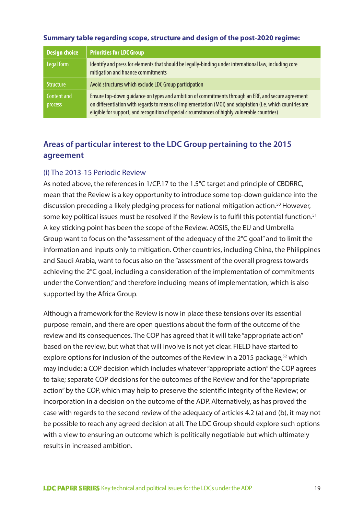| <b>Design choice</b>   | <b>Priorities for LDC Group</b>                                                                                                                                                                                                                                                                                   |
|------------------------|-------------------------------------------------------------------------------------------------------------------------------------------------------------------------------------------------------------------------------------------------------------------------------------------------------------------|
| Legal form             | Identify and press for elements that should be legally-binding under international law, including core<br>mitigation and finance commitments                                                                                                                                                                      |
| <b>Structure</b>       | Avoid structures which exclude LDC Group participation                                                                                                                                                                                                                                                            |
| Content and<br>process | Ensure top-down quidance on types and ambition of commitments through an ERF, and secure agreement<br>on differentiation with regards to means of implementation (MOI) and adaptation (i.e. which countries are<br>eligible for support, and recognition of special circumstances of highly vulnerable countries) |

#### **Summary table regarding scope, structure and design of the post-2020 regime:**

# **Areas of particular interest to the LDC Group pertaining to the 2015 agreement**

#### (i) The 2013-15 Periodic Review

As noted above, the references in 1/CP.17 to the 1.5°C target and principle of CBDRRC, mean that the Review is a key opportunity to introduce some top-down guidance into the discussion preceding a likely pledging process for national mitigation action.<sup>50</sup> However, some key political issues must be resolved if the Review is to fulfil this potential function.<sup>51</sup> A key sticking point has been the scope of the Review. AOSIS, the EU and Umbrella Group want to focus on the "assessment of the adequacy of the 2°C goal" and to limit the information and inputs only to mitigation. Other countries, including China, the Philippines and Saudi Arabia, want to focus also on the "assessment of the overall progress towards achieving the 2°C goal, including a consideration of the implementation of commitments under the Convention," and therefore including means of implementation, which is also supported by the Africa Group.

Although a framework for the Review is now in place these tensions over its essential purpose remain, and there are open questions about the form of the outcome of the review and its consequences. The COP has agreed that it will take "appropriate action" based on the review, but what that will involve is not yet clear. FIELD have started to explore options for inclusion of the outcomes of the Review in a 2015 package,<sup>52</sup> which may include: a COP decision which includes whatever "appropriate action" the COP agrees to take; separate COP decisions for the outcomes of the Review and for the "appropriate action" by the COP, which may help to preserve the scientific integrity of the Review; or incorporation in a decision on the outcome of the ADP. Alternatively, as has proved the case with regards to the second review of the adequacy of articles 4.2 (a) and (b), it may not be possible to reach any agreed decision at all. The LDC Group should explore such options with a view to ensuring an outcome which is politically negotiable but which ultimately results in increased ambition.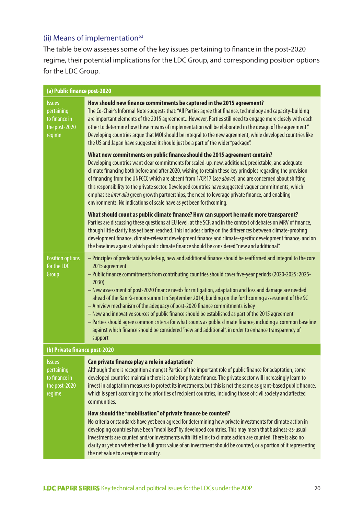# (ii) Means of implementation $53$

The table below assesses some of the key issues pertaining to finance in the post-2020 regime, their potential implications for the LDC Group, and corresponding position options for the LDC Group.

| (a) Public finance post-2020                                            |                                                                                                                                                                                                                                                                                                                                                                                                                                                                                                                                                                                                                                                                                                                                                                                                                                                                                                    |  |
|-------------------------------------------------------------------------|----------------------------------------------------------------------------------------------------------------------------------------------------------------------------------------------------------------------------------------------------------------------------------------------------------------------------------------------------------------------------------------------------------------------------------------------------------------------------------------------------------------------------------------------------------------------------------------------------------------------------------------------------------------------------------------------------------------------------------------------------------------------------------------------------------------------------------------------------------------------------------------------------|--|
| <b>Issues</b><br>pertaining<br>to finance in<br>the post-2020<br>regime | How should new finance commitments be captured in the 2015 agreement?<br>The Co-Chair's Informal Note suggests that: "All Parties agree that finance, technology and capacity-building<br>are important elements of the 2015 agreementHowever, Parties still need to engage more closely with each<br>other to determine how these means of implementation will be elaborated in the design of the agreement."<br>Developing countries argue that MOI should be integral to the new agreement, while developed countries like<br>the US and Japan have suggested it should just be a part of the wider "package".                                                                                                                                                                                                                                                                                  |  |
|                                                                         | What new commitments on public finance should the 2015 agreement contain?<br>Developing countries want clear commitments for scaled-up, new, additional, predictable, and adequate<br>climate financing both before and after 2020, wishing to retain these key principles regarding the provision<br>of financing from the UNFCCC which are absent from 1/CP.17 (see above), and are concerned about shifting<br>this responsibility to the private sector. Developed countries have suggested vaguer commitments, which<br>emphasise inter alia green growth partnerships, the need to leverage private finance, and enabling<br>environments. No indications of scale have as yet been forthcoming.                                                                                                                                                                                             |  |
|                                                                         | What should count as public climate finance? How can support be made more transparent?<br>Parties are discussing these questions at EU level, at the SCF, and in the context of debates on MRV of finance,<br>though little clarity has yet been reached. This includes clarity on the differences between climate-proofing<br>development finance, climate-relevant development finance and climate-specific development finance, and on<br>the baselines against which public climate finance should be considered "new and additional".                                                                                                                                                                                                                                                                                                                                                         |  |
| <b>Position options</b><br>for the LDC<br>Group                         | - Principles of predictable, scaled-up, new and additional finance should be reaffirmed and integral to the core<br>2015 agreement<br>- Public finance commitments from contributing countries should cover five-year periods (2020-2025; 2025-<br>2030)<br>- New assessment of post-2020 finance needs for mitigation, adaptation and loss and damage are needed<br>ahead of the Ban Ki-moon summit in September 2014, building on the forthcoming assessment of the SC<br>- A review mechanism of the adequacy of post-2020 finance commitments is key<br>- New and innovative sources of public finance should be established as part of the 2015 agreement<br>- Parties should agree common criteria for what counts as public climate finance, including a common baseline<br>against which finance should be considered "new and additional", in order to enhance transparency of<br>support |  |
| (b) Private finance post-2020                                           |                                                                                                                                                                                                                                                                                                                                                                                                                                                                                                                                                                                                                                                                                                                                                                                                                                                                                                    |  |
| <b>Issues</b><br>pertaining<br>to finance in<br>the post-2020<br>regime | Can private finance play a role in adaptation?<br>Although there is recognition amongst Parties of the important role of public finance for adaptation, some<br>developed countries maintain there is a role for private finance. The private sector will increasingly learn to<br>invest in adaptation measures to protect its investments, but this is not the same as grant-based public finance,<br>which is spent according to the priorities of recipient countries, including those of civil society and affected<br>communities.                                                                                                                                                                                                                                                                                                                                                           |  |
|                                                                         | How should the "mobilisation" of private finance be counted?<br>No criteria or standards have yet been agreed for determining how private investments for climate action in<br>developing countries have been "mobilised" by developed countries. This may mean that business-as-usual<br>investments are counted and/or investments with little link to climate action are counted. There is also no<br>clarity as yet on whether the full gross value of an investment should be counted, or a portion of it representing<br>the net value to a recipient country.                                                                                                                                                                                                                                                                                                                               |  |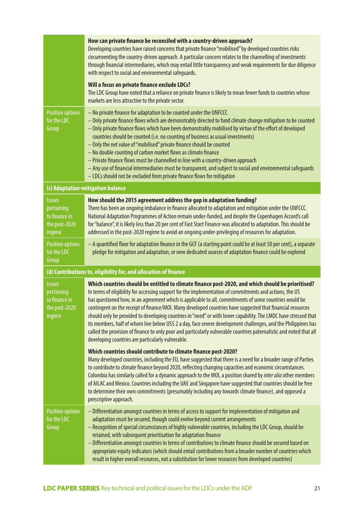|                                                                         | How can private finance be reconciled with a country-driven approach?<br>Developing countries have raised concerns that private finance "mobilised" by developed countries risks<br>circumventing the country-driven approach. A particular concern relates to the channelling of investments<br>through financial intermediaries, which may entail little transparency and weak requirements for due diligence<br>with respect to social and environmental safeguards.                                                                                                                                                                                                                                                                                                                                                                               |
|-------------------------------------------------------------------------|-------------------------------------------------------------------------------------------------------------------------------------------------------------------------------------------------------------------------------------------------------------------------------------------------------------------------------------------------------------------------------------------------------------------------------------------------------------------------------------------------------------------------------------------------------------------------------------------------------------------------------------------------------------------------------------------------------------------------------------------------------------------------------------------------------------------------------------------------------|
|                                                                         | Will a focus on private finance exclude LDCs?<br>The LDC Group have noted that a reliance on private finance is likely to mean fewer funds to countries whose<br>markets are less attractive to the private sector.                                                                                                                                                                                                                                                                                                                                                                                                                                                                                                                                                                                                                                   |
| <b>Position options</b><br>for the LDC<br>Group                         | - No private finance for adaptation to be counted under the UNFCCC<br>- Only private finance flows which are demonstrably directed to fund climate change mitigation to be counted<br>- Only private finance flows which have been demonstrably mobilised by virtue of the effort of developed<br>countries should be counted (i.e. no counting of business as usual investments)<br>- Only the net value of "mobilised" private finance should be counted<br>- No double counting of carbon market flows as climate finance<br>- Private finance flows must be channelled in line with a country-driven approach<br>- Any use of financial intermediaries must be transparent, and subject to social and environmental safeguards<br>- LDCs should not be excluded from private finance flows for mitigation                                         |
|                                                                         | (c) Adaptation-mitigation balance                                                                                                                                                                                                                                                                                                                                                                                                                                                                                                                                                                                                                                                                                                                                                                                                                     |
| <b>Issues</b><br>pertaining<br>to finance in<br>the post-2020<br>regime | How should the 2015 agreement address the gap in adaptation funding?<br>There has been an ongoing imbalance in finance allocated to adaptation and mitigation under the UNFCCC.<br>National Adaptation Programmes of Action remain under-funded, and despite the Copenhagen Accord's call<br>for "balance", it is likely less than 20 per cent of Fast Start Finance was allocated to adaptation. This should be<br>addressed in the post-2020 regime to avoid an ongoing under-privileging of resources for adaptation.                                                                                                                                                                                                                                                                                                                              |
| <b>Position options</b><br>for the LDC<br>Group                         | - A quantified floor for adaptation finance in the GCF (a starting point could be at least 50 per cent), a separate<br>pledge for mitigation and adaptation, or new dedicated sources of adaptation finance could be explored                                                                                                                                                                                                                                                                                                                                                                                                                                                                                                                                                                                                                         |
|                                                                         | (d) Contributions to, eligibility for, and allocation of finance                                                                                                                                                                                                                                                                                                                                                                                                                                                                                                                                                                                                                                                                                                                                                                                      |
| <b>Issues</b><br>pertaining<br>to finance in<br>the post-2020<br>regime | Which countries should be entitled to climate finance post-2020, and which should be prioritised?<br>In terms of eligibility for accessing support for the implementation of commitments and actions, the US<br>has questioned how, in an agreement which is applicable to all, commitments of some countries would be<br>contingent on the receipt of finance/MOI. Many developed countries have suggested that financial resources<br>should only be provided to developing countries in "need" or with lower capability. The LMDC have stressed that<br>its members, half of whom live below US\$ 2 a day, face severe development challenges, and the Philippines has<br>called the provision of finance to only poor and particularly vulnerable countries paternalistic and noted that all<br>developing countries are particularly vulnerable. |
|                                                                         | Which countries should contribute to climate finance post-2020?<br>Many developed countries, including the EU, have suggested that there is a need for a broader range of Parties<br>to contribute to climate finance beyond 2020, reflecting changing capacities and economic circumstances.<br>Colombia has similarly called for a dynamic approach to the MOI, a position shared by inter alia other members<br>of AILAC and Mexico. Countries including the UAE and Singapore have suggested that countries should be free<br>to determine their own commitments (presumably including any towards climate finance), and opposed a<br>prescriptive approach.                                                                                                                                                                                      |
| <b>Position options</b><br>for the LDC<br>Group                         | - Differentiation amongst countries in terms of access to support for implementation of mitigation and<br>adaptation must be secured, though could evolve beyond current arrangements<br>- Recognition of special circumstances of highly vulnerable countries, including the LDC Group, should be<br>retained, with subsequent prioritisation for adaptation finance<br>- Differentiation amongst countries in terms of contributions to climate finance should be secured based on<br>appropriate equity indicators (which should entail contributions from a broader number of countries which<br>result in higher overall resources, not a substitution for lower resources from developed countries)                                                                                                                                             |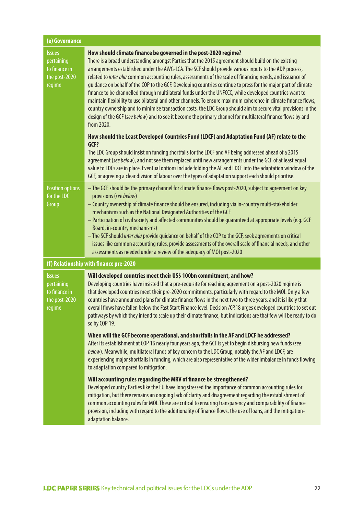| (e) Governance                                                          |                                                                                                                                                                                                                                                                                                                                                                                                                                                                                                                                                                                                                                                                                                                                                                                                                                                                                                                                                                                                 |  |
|-------------------------------------------------------------------------|-------------------------------------------------------------------------------------------------------------------------------------------------------------------------------------------------------------------------------------------------------------------------------------------------------------------------------------------------------------------------------------------------------------------------------------------------------------------------------------------------------------------------------------------------------------------------------------------------------------------------------------------------------------------------------------------------------------------------------------------------------------------------------------------------------------------------------------------------------------------------------------------------------------------------------------------------------------------------------------------------|--|
| <b>Issues</b><br>pertaining<br>to finance in<br>the post-2020<br>regime | How should climate finance be governed in the post-2020 regime?<br>There is a broad understanding amongst Parties that the 2015 agreement should build on the existing<br>arrangements established under the AWG-LCA. The SCF should provide various inputs to the ADP process,<br>related to inter alia common accounting rules, assessments of the scale of financing needs, and issuance of<br>guidance on behalf of the COP to the GCF. Developing countries continue to press for the major part of climate<br>finance to be channelled through multilateral funds under the UNFCCC, while developed countries want to<br>maintain flexibility to use bilateral and other channels. To ensure maximum coherence in climate finance flows,<br>country ownership and to minimise transaction costs, the LDC Group should aim to secure vital provisions in the<br>design of the GCF (see below) and to see it become the primary channel for multilateral finance flows by and<br>from 2020. |  |
|                                                                         | How should the Least Developed Countries Fund (LDCF) and Adaptation Fund (AF) relate to the<br>GCF?<br>The LDC Group should insist on funding shortfalls for the LDCF and AF being addressed ahead of a 2015<br>agreement (see below), and not see them replaced until new arrangements under the GCF of at least equal<br>value to LDCs are in place. Eventual options include folding the AF and LDCF into the adaptation window of the<br>GCF, or agreeing a clear division of labour over the types of adaptation support each should prioritise.                                                                                                                                                                                                                                                                                                                                                                                                                                           |  |
| <b>Position options</b><br>for the LDC<br>Group                         | - The GCF should be the primary channel for climate finance flows post-2020, subject to agreement on key<br>provisions (see below)<br>- Country ownership of climate finance should be ensured, including via in-country multi-stakeholder<br>mechanisms such as the National Designated Authorities of the GCF<br>- Participation of civil society and affected communities should be guaranteed at appropriate levels (e.g. GCF<br>Board, in-country mechanisms)<br>- The SCF should inter alia provide guidance on behalf of the COP to the GCF, seek agreements on critical<br>issues like common accounting rules, provide assessments of the overall scale of financial needs, and other<br>assessments as needed under a review of the adequacy of MOI post-2020                                                                                                                                                                                                                         |  |
|                                                                         | (f) Relationship with finance pre-2020                                                                                                                                                                                                                                                                                                                                                                                                                                                                                                                                                                                                                                                                                                                                                                                                                                                                                                                                                          |  |
| <b>Issues</b><br>pertaining<br>to finance in<br>the post-2020<br>regime | Will developed countries meet their US\$ 100bn commitment, and how?<br>Developing countries have insisted that a pre-requisite for reaching agreement on a post-2020 regime is<br>that developed countries meet their pre-2020 commitments, particularly with regard to the MOI. Only a few<br>countries have announced plans for climate finance flows in the next two to three years, and it is likely that<br>overall flows have fallen below the Fast Start Finance level. Decision /CP.18 urges developed countries to set out<br>pathways by which they intend to scale up their climate finance, but indications are that few will be ready to do<br>so by COP 19.                                                                                                                                                                                                                                                                                                                       |  |
|                                                                         | When will the GCF become operational, and shortfalls in the AF and LDCF be addressed?<br>After its establishment at COP 16 nearly four years ago, the GCF is yet to begin disbursing new funds (see<br>below). Meanwhile, multilateral funds of key concern to the LDC Group, notably the AF and LDCF, are<br>experiencing major shortfalls in funding, which are also representative of the wider imbalance in funds flowing<br>to adaptation compared to mitigation.                                                                                                                                                                                                                                                                                                                                                                                                                                                                                                                          |  |
|                                                                         | Will accounting rules regarding the MRV of finance be strengthened?<br>Developed country Parties like the EU have long stressed the importance of common accounting rules for<br>mitigation, but there remains an ongoing lack of clarity and disagreement regarding the establishment of<br>common accounting rules for MOI. These are critical to ensuring transparency and comparability of finance<br>provision, including with regard to the additionality of finance flows, the use of loans, and the mitigation-<br>adaptation balance.                                                                                                                                                                                                                                                                                                                                                                                                                                                  |  |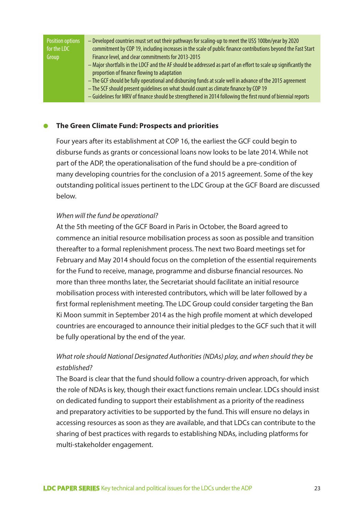| Position options<br>for the LDC | - Developed countries must set out their pathways for scaling-up to meet the US\$ 100bn/year by 2020<br>commitment by COP 19, including increases in the scale of public finance contributions beyond the Fast Start |
|---------------------------------|----------------------------------------------------------------------------------------------------------------------------------------------------------------------------------------------------------------------|
| Group                           | Finance level, and clear commitments for 2013-2015                                                                                                                                                                   |
|                                 | - Major shortfalls in the LDCF and the AF should be addressed as part of an effort to scale up significantly the                                                                                                     |
|                                 | proportion of finance flowing to adaptation                                                                                                                                                                          |
|                                 | - The GCF should be fully operational and disbursing funds at scale well in advance of the 2015 agreement                                                                                                            |
|                                 | - The SCF should present quidelines on what should count as climate finance by COP 19                                                                                                                                |
|                                 | - Guidelines for MRV of finance should be strengthened in 2014 following the first round of biennial reports                                                                                                         |

#### ● **The Green Climate Fund: Prospects and priorities**

Four years after its establishment at COP 16, the earliest the GCF could begin to disburse funds as grants or concessional loans now looks to be late 2014. While not part of the ADP, the operationalisation of the fund should be a pre-condition of many developing countries for the conclusion of a 2015 agreement. Some of the key outstanding political issues pertinent to the LDC Group at the GCF Board are discussed below.

#### *When will the fund be operational?*

At the 5th meeting of the GCF Board in Paris in October, the Board agreed to commence an initial resource mobilisation process as soon as possible and transition thereafter to a formal replenishment process. The next two Board meetings set for February and May 2014 should focus on the completion of the essential requirements for the Fund to receive, manage, programme and disburse financial resources. No more than three months later, the Secretariat should facilitate an initial resource mobilisation process with interested contributors, which will be later followed by a first formal replenishment meeting. The LDC Group could consider targeting the Ban Ki Moon summit in September 2014 as the high profile moment at which developed countries are encouraged to announce their initial pledges to the GCF such that it will be fully operational by the end of the year.

# *What role should National Designated Authorities (NDAs) play, and when should they be established?*

The Board is clear that the fund should follow a country-driven approach, for which the role of NDAs is key, though their exact functions remain unclear. LDCs should insist on dedicated funding to support their establishment as a priority of the readiness and preparatory activities to be supported by the fund. This will ensure no delays in accessing resources as soon as they are available, and that LDCs can contribute to the sharing of best practices with regards to establishing NDAs, including platforms for multi-stakeholder engagement.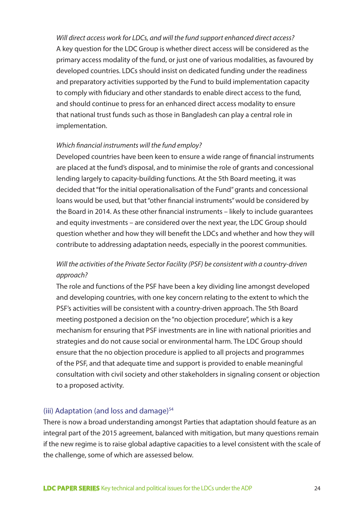*Will direct access work for LDCs, and will the fund support enhanced direct access?* A key question for the LDC Group is whether direct access will be considered as the primary access modality of the fund, or just one of various modalities, as favoured by developed countries. LDCs should insist on dedicated funding under the readiness and preparatory activities supported by the Fund to build implementation capacity to comply with fiduciary and other standards to enable direct access to the fund, and should continue to press for an enhanced direct access modality to ensure that national trust funds such as those in Bangladesh can play a central role in implementation.

#### *Which financial instruments will the fund employ?*

Developed countries have been keen to ensure a wide range of financial instruments are placed at the fund's disposal, and to minimise the role of grants and concessional lending largely to capacity-building functions. At the 5th Board meeting, it was decided that "for the initial operationalisation of the Fund" grants and concessional loans would be used, but that "other financial instruments" would be considered by the Board in 2014. As these other financial instruments – likely to include guarantees and equity investments – are considered over the next year, the LDC Group should question whether and how they will benefit the LDCs and whether and how they will contribute to addressing adaptation needs, especially in the poorest communities.

## *Will the activities of the Private Sector Facility (PSF) be consistent with a country-driven approach?*

The role and functions of the PSF have been a key dividing line amongst developed and developing countries, with one key concern relating to the extent to which the PSF's activities will be consistent with a country-driven approach. The 5th Board meeting postponed a decision on the "no objection procedure", which is a key mechanism for ensuring that PSF investments are in line with national priorities and strategies and do not cause social or environmental harm. The LDC Group should ensure that the no objection procedure is applied to all projects and programmes of the PSF, and that adequate time and support is provided to enable meaningful consultation with civil society and other stakeholders in signaling consent or objection to a proposed activity.

#### (iii) Adaptation (and loss and damage)<sup>54</sup>

There is now a broad understanding amongst Parties that adaptation should feature as an integral part of the 2015 agreement, balanced with mitigation, but many questions remain if the new regime is to raise global adaptive capacities to a level consistent with the scale of the challenge, some of which are assessed below.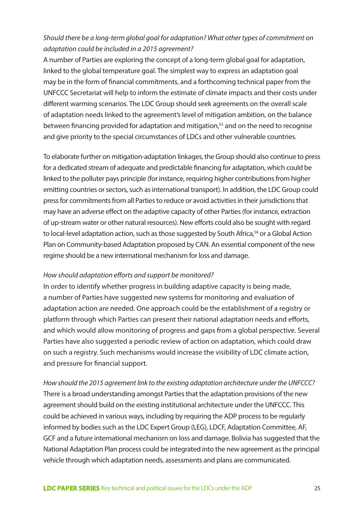## *Should there be a long-term global goal for adaptation? What other types of commitment on adaptation could be included in a 2015 agreement?*

A number of Parties are exploring the concept of a long-term global goal for adaptation, linked to the global temperature goal. The simplest way to express an adaptation goal may be in the form of financial commitments, and a forthcoming technical paper from the UNFCCC Secretariat will help to inform the estimate of climate impacts and their costs under different warming scenarios. The LDC Group should seek agreements on the overall scale of adaptation needs linked to the agreement's level of mitigation ambition, on the balance between financing provided for adaptation and mitigation,<sup>55</sup> and on the need to recognise and give priority to the special circumstances of LDCs and other vulnerable countries.

To elaborate further on mitigation-adaptation linkages, the Group should also continue to press for a dedicated stream of adequate and predictable financing for adaptation, which could be linked to the polluter pays principle (for instance, requiring higher contributions from higher emitting countries or sectors, such as international transport). In addition, the LDC Group could press for commitments from all Parties to reduce or avoid activities in their jurisdictions that may have an adverse effect on the adaptive capacity of other Parties (for instance, extraction of up-stream water or other natural resources). New efforts could also be sought with regard to local-level adaptation action, such as those suggested by South Africa,<sup>56</sup> or a Global Action Plan on Community-based Adaptation proposed by CAN. An essential component of the new regime should be a new international mechanism for loss and damage.

#### *How should adaptation efforts and support be monitored?*

In order to identify whether progress in building adaptive capacity is being made, a number of Parties have suggested new systems for monitoring and evaluation of adaptation action are needed. One approach could be the establishment of a registry or platform through which Parties can present their national adaptation needs and efforts, and which would allow monitoring of progress and gaps from a global perspective. Several Parties have also suggested a periodic review of action on adaptation, which could draw on such a registry. Such mechanisms would increase the visibility of LDC climate action, and pressure for financial support.

*How should the 2015 agreement link to the existing adaptation architecture under the UNFCCC?* There is a broad understanding amongst Parties that the adaptation provisions of the new agreement should build on the existing institutional architecture under the UNFCCC. This could be achieved in various ways, including by requiring the ADP process to be regularly informed by bodies such as the LDC Expert Group (LEG), LDCF, Adaptation Committee, AF, GCF and a future international mechanism on loss and damage. Bolivia has suggested that the National Adaptation Plan process could be integrated into the new agreement as the principal vehicle through which adaptation needs, assessments and plans are communicated.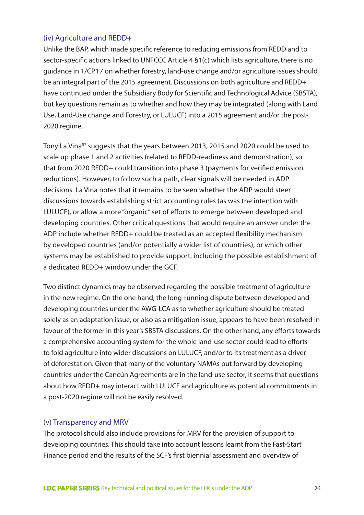#### (iv) Agriculture and REDD+

Unlike the BAP, which made specific reference to reducing emissions from REDD and to sector-specific actions linked to UNFCCC Article 4 §1(c) which lists agriculture, there is no guidance in 1/CP.17 on whether forestry, land-use change and/or agriculture issues should be an integral part of the 2015 agreement. Discussions on both agriculture and REDD+ have continued under the Subsidiary Body for Scientific and Technological Advice (SBSTA), but key questions remain as to whether and how they may be integrated (along with Land Use, Land-Use change and Forestry, or LULUCF) into a 2015 agreement and/or the post-2020 regime.

Tony La Vina57 suggests that the years between 2013, 2015 and 2020 could be used to scale up phase 1 and 2 activities (related to REDD-readiness and demonstration), so that from 2020 REDD+ could transition into phase 3 (payments for verified emission reductions). However, to follow such a path, clear signals will be needed in ADP decisions. La Vina notes that it remains to be seen whether the ADP would steer discussions towards establishing strict accounting rules (as was the intention with LULUCF), or allow a more "organic" set of efforts to emerge between developed and developing countries. Other critical questions that would require an answer under the ADP include whether REDD+ could be treated as an accepted flexibility mechanism by developed countries (and/or potentially a wider list of countries), or which other systems may be established to provide support, including the possible establishment of a dedicated REDD+ window under the GCF.

Two distinct dynamics may be observed regarding the possible treatment of agriculture in the new regime. On the one hand, the long-running dispute between developed and developing countries under the AWG-LCA as to whether agriculture should be treated solely as an adaptation issue, or also as a mitigation issue, appears to have been resolved in favour of the former in this year's SBSTA discussions. On the other hand, any efforts towards a comprehensive accounting system for the whole land-use sector could lead to efforts to fold agriculture into wider discussions on LULUCF, and/or to its treatment as a driver of deforestation. Given that many of the voluntary NAMAs put forward by developing countries under the Cancún Agreements are in the land-use sector, it seems that questions about how REDD+ may interact with LULUCF and agriculture as potential commitments in a post-2020 regime will not be easily resolved.

#### (v) Transparency and MRV

The protocol should also include provisions for MRV for the provision of support to developing countries. This should take into account lessons learnt from the Fast-Start Finance period and the results of the SCF's first biennial assessment and overview of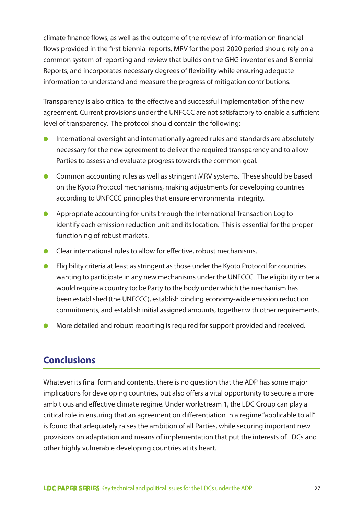climate finance flows, as well as the outcome of the review of information on financial flows provided in the first biennial reports. MRV for the post-2020 period should rely on a common system of reporting and review that builds on the GHG inventories and Biennial Reports, and incorporates necessary degrees of flexibility while ensuring adequate information to understand and measure the progress of mitigation contributions.

Transparency is also critical to the effective and successful implementation of the new agreement. Current provisions under the UNFCCC are not satisfactory to enable a sufficient level of transparency. The protocol should contain the following:

- International oversight and internationally agreed rules and standards are absolutely necessary for the new agreement to deliver the required transparency and to allow Parties to assess and evaluate progress towards the common goal.
- Common accounting rules as well as stringent MRV systems. These should be based on the Kyoto Protocol mechanisms, making adjustments for developing countries according to UNFCCC principles that ensure environmental integrity.
- Appropriate accounting for units through the International Transaction Log to identify each emission reduction unit and its location. This is essential for the proper functioning of robust markets.
- Clear international rules to allow for effective, robust mechanisms.
- Eligibility criteria at least as stringent as those under the Kyoto Protocol for countries wanting to participate in any new mechanisms under the UNFCCC. The eligibility criteria would require a country to: be Party to the body under which the mechanism has been established (the UNFCCC), establish binding economy-wide emission reduction commitments, and establish initial assigned amounts, together with other requirements.
- More detailed and robust reporting is required for support provided and received.

# **Conclusions**

Whatever its final form and contents, there is no question that the ADP has some major implications for developing countries, but also offers a vital opportunity to secure a more ambitious and effective climate regime. Under workstream 1, the LDC Group can play a critical role in ensuring that an agreement on differentiation in a regime "applicable to all" is found that adequately raises the ambition of all Parties, while securing important new provisions on adaptation and means of implementation that put the interests of LDCs and other highly vulnerable developing countries at its heart.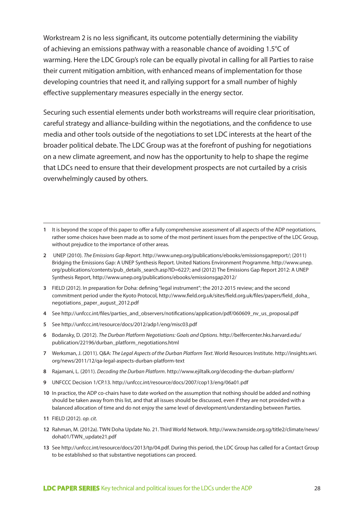Workstream 2 is no less significant, its outcome potentially determining the viability of achieving an emissions pathway with a reasonable chance of avoiding 1.5°C of warming. Here the LDC Group's role can be equally pivotal in calling for all Parties to raise their current mitigation ambition, with enhanced means of implementation for those developing countries that need it, and rallying support for a small number of highly effective supplementary measures especially in the energy sector.

Securing such essential elements under both workstreams will require clear prioritisation, careful strategy and alliance-building within the negotiations, and the confidence to use media and other tools outside of the negotiations to set LDC interests at the heart of the broader political debate. The LDC Group was at the forefront of pushing for negotiations on a new climate agreement, and now has the opportunity to help to shape the regime that LDCs need to ensure that their development prospects are not curtailed by a crisis overwhelmingly caused by others.

- **1** It is beyond the scope of this paper to offer a fully comprehensive assessment of all aspects of the ADP negotiations, rather some choices have been made as to some of the most pertinent issues from the perspective of the LDC Group, without prejudice to the importance of other areas.
- **2** UNEP (2010). *The Emissions Gap Report*. http://www.unep.org/publications/ebooks/emissionsgapreport/; (2011) Bridging the Emissions Gap: A UNEP Synthesis Report. United Nations Environment Programme. http://www.unep. org/publications/contents/pub\_details\_search.asp?ID=6227; and (2012) The Emissions Gap Report 2012: A UNEP Synthesis Report, http://www.unep.org/publications/ebooks/emissionsgap2012/
- **3** FIELD (2012). In preparation for Doha: defining "legal instrument"; the 2012-2015 review; and the second commitment period under the Kyoto Protocol, http://www.field.org.uk/sites/field.org.uk/files/papers/field\_doha\_ negotiations\_paper\_august\_2012.pdf
- **4** See http://unfccc.int/files/parties\_and\_observers/notifications/application/pdf/060609\_nv\_us\_proposal.pdf
- **5** See http://unfccc.int/resource/docs/2012/adp1/eng/misc03.pdf
- **6** Bodansky, D. (2012). *The Durban Platform Negotiations: Goals and Options*. http://belfercenter.hks.harvard.edu/ publication/22196/durban\_platform\_negotiations.html
- **7** Werksman, J. (2011). Q&A: *The Legal Aspects of the Durban Platform Text*. World Resources Institute. http://insights.wri. org/news/2011/12/qa-legal-aspects-durban-platform-text
- **8** Rajamani, L. (2011). *Decoding the Durban Platform*. http://www.ejiltalk.org/decoding-the-durban-platform/
- **9** UNFCCC Decision 1/CP.13. http://unfccc.int/resource/docs/2007/cop13/eng/06a01.pdf
- **10** In practice, the ADP co-chairs have to date worked on the assumption that nothing should be added and nothing should be taken away from this list, and that all issues should be discussed, even if they are not provided with a balanced allocation of time and do not enjoy the same level of development/understanding between Parties.
- **11** FIELD (2012). *op. cit*.
- **12** Rahman, M. (2012a). TWN Doha Update No. 21. Third World Network. http://www.twnside.org.sg/title2/climate/news/ doha01/TWN\_update21.pdf
- **13** See http://unfccc.int/resource/docs/2013/tp/04.pdf. During this period, the LDC Group has called for a Contact Group to be established so that substantive negotiations can proceed.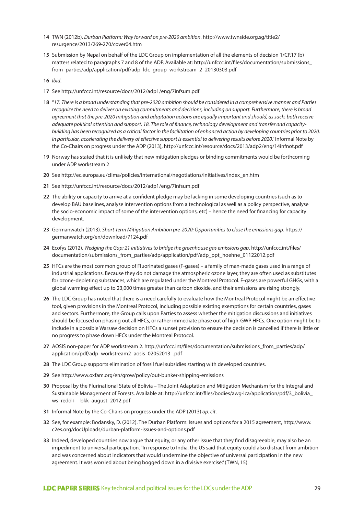- **14** TWN (2012b). *Durban Platform: Way forward on pre-2020 ambition*. http://www.twnside.org.sg/title2/ resurgence/2013/269-270/cover04.htm
- **15** Submission by Nepal on behalf of the LDC Group on implementation of all the elements of decision 1/CP.17 (b) matters related to paragraphs 7 and 8 of the ADP. Available at: http://unfccc.int/files/documentation/submissions\_ from\_parties/adp/application/pdf/adp\_ldc\_group\_workstream\_2\_20130303.pdf
- **16** *Ibid*.
- **17** See http://unfccc.int/resource/docs/2012/adp1/eng/7infsum.pdf
- **18** "*17. There is a broad understanding that pre-2020 ambition should be considered in a comprehensive manner and Parties recognize the need to deliver on existing commitments and decisions, including on support. Furthermore, there is broad agreement that the pre-2020 mitigation and adaptation actions are equally important and should, as such, both receive adequate political attention and support. 18. The role of finance, technology development and transfer and capacitybuilding has been recognized as a critical factor in the facilitation of enhanced action by developing countries prior to 2020. In particular, accelerating the delivery of effective support is essential to delivering results before 2020*." Informal Note by the Co-Chairs on progress under the ADP (2013), http://unfccc.int/resource/docs/2013/adp2/eng/14infnot.pdf
- **19** Norway has stated that it is unlikely that new mitigation pledges or binding commitments would be forthcoming under ADP workstream 2
- **20** See http://ec.europa.eu/clima/policies/international/negotiations/initiatives/index\_en.htm
- **21** See http://unfccc.int/resource/docs/2012/adp1/eng/7infsum.pdf
- **22** The ability or capacity to arrive at a confident pledge may be lacking in some developing countries (such as to develop BAU baselines, analyse intervention options from a technological as well as a policy perspective, analyse the socio-economic impact of some of the intervention options, etc) – hence the need for financing for capacity development.
- **23** Germanwatch (2013). *Short-term Mitigation Ambition pre-2020: Opportunities to close the emissions gap*. https:// germanwatch.org/en/download/7124.pdf
- **24** Ecofys (2012). *Wedging the Gap: 21 initiatives to bridge the greenhouse gas emissions gap*. http://unfccc.int/files/ documentation/submissions\_from\_parties/adp/application/pdf/adp\_ppt\_hoehne\_01122012.pdf
- **25** HFCs are the most common group of Fluorinated gases (F-gases) a family of man-made gases used in a range of industrial applications. Because they do not damage the atmospheric ozone layer, they are often used as substitutes for ozone-depleting substances, which are regulated under the Montreal Protocol. F-gases are powerful GHGs, with a global warming effect up to 23,000 times greater than carbon dioxide, and their emissions are rising strongly.
- **26** The LDC Group has noted that there is a need carefully to evaluate how the Montreal Protocol might be an effective tool, given provisions in the Montreal Protocol, including possible existing exemptions for certain countries, gases and sectors. Furthermore, the Group calls upon Parties to assess whether the mitigation discussions and initiatives should be focused on phasing out all HFCs, or rather immediate phase out of high-GWP HFCs. One option might be to include in a possible Warsaw decision on HFCs a sunset provision to ensure the decision is cancelled if there is little or no progress to phase down HFCs under the Montreal Protocol.
- 27 AOSIS non-paper for ADP workstream 2. http://unfccc.int/files/documentation/submissions\_from\_parties/adp/ application/pdf/adp\_workstream2\_aosis\_02052013\_.pdf
- **28** The LDC Group supports elimination of fossil fuel subsidies starting with developed countries.
- **29** See http://www.oxfam.org/en/grow/policy/out-bunker-shipping-emissions
- **30** Proposal by the Plurinational State of Bolivia The Joint Adaptation and Mitigation Mechanism for the Integral and Sustainable Management of Forests. Available at: http://unfccc.int/files/bodies/awg-lca/application/pdf/3\_bolivia\_ ws\_redd+\_\_bkk\_august\_2012.pdf
- **31** Informal Note by the Co-Chairs on progress under the ADP (2013) *op. cit*.
- **32** See, for example: Bodansky, D. (2012). The Durban Platform: Issues and options for a 2015 agreement, http://www. c2es.org/docUploads/durban-platform-issues-and-options.pdf
- **33** Indeed, developed countries now argue that equity, or any other issue that they find disagreeable, may also be an impediment to universal participation. "In response to India, the US said that equity could also distract from ambition and was concerned about indicators that would undermine the objective of universal participation in the new agreement. It was worried about being bogged down in a divisive exercise." (TWN, 15)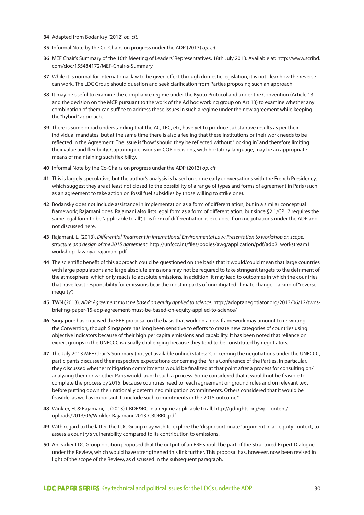- **34** Adapted from Bodanksy (2012) *op. cit*.
- **35** Informal Note by the Co-Chairs on progress under the ADP (2013) *op. cit*.
- **36** MEF Chair's Summary of the 16th Meeting of Leaders' Representatives, 18th July 2013. Available at: http://www.scribd. com/doc/155484172/MEF-Chair-s-Summary
- **37** While it is normal for international law to be given effect through domestic legislation, it is not clear how the reverse can work. The LDC Group should question and seek clarification from Parties proposing such an approach.
- **38** It may be useful to examine the compliance regime under the Kyoto Protocol and under the Convention (Article 13 and the decision on the MCP pursuant to the work of the Ad hoc working group on Art 13) to examine whether any combination of them can suffice to address these issues in such a regime under the new agreement while keeping the "hybrid" approach.
- **39** There is some broad understanding that the AC, TEC, etc, have yet to produce substantive results as per their individual mandates, but at the same time there is also a feeling that these institutions or their work needs to be reflected in the Agreement. The issue is "how" should they be reflected without "locking in" and therefore limiting their value and flexibility. Capturing decisions in COP decisions, with hortatory language, may be an appropriate means of maintaining such flexibility.
- **40** Informal Note by the Co-Chairs on progress under the ADP (2013) *op. cit*.
- **41** This is largely speculative, but the author's analysis is based on some early conversations with the French Presidency, which suggest they are at least not closed to the possibility of a range of types and forms of agreement in Paris (such as an agreement to take action on fossil fuel subsidies by those willing to strike one).
- **42** Bodansky does not include assistance in implementation as a form of differentiation, but in a similar conceptual framework; Rajamani does. Rajamani also lists legal form as a form of differentiation, but since §2 1/CP.17 requires the same legal form to be "applicable to all", this form of differentiation is excluded from negotiations under the ADP and not discussed here.
- **43** Rajamani, L. (2013). *Differential Treatment in International Environmental Law: Presentation to workshop on scope, structure and design of the 2015 agreement*. http://unfccc.int/files/bodies/awg/application/pdf/adp2\_workstream1\_ workshop\_lavanya\_rajamani.pdf
- **44** The scientific benefit of this approach could be questioned on the basis that it would/could mean that large countries with large populations and large absolute emissions may not be required to take stringent targets to the detriment of the atmosphere, which only reacts to absolute emissions. In addition, it may lead to outcomes in which the countries that have least responsibility for emissions bear the most impacts of unmitigated climate change – a kind of "reverse inequity".
- **45** TWN (2013). *ADP: Agreement must be based on equity applied to science*. http://adoptanegotiator.org/2013/06/12/twnsbriefing-paper-15-adp-agreement-must-be-based-on-equity-applied-to-science/
- **46** Singapore has criticised the ERF proposal on the basis that work on a new framework may amount to re-writing the Convention, though Singapore has long been sensitive to efforts to create new categories of countries using objective indicators because of their high per capita emissions and capability. It has been noted that reliance on expert groups in the UNFCCC is usually challenging because they tend to be constituted by negotiators.
- **47** The July 2013 MEF Chair's Summary (not yet available online) states: "Concerning the negotiations under the UNFCCC, participants discussed their respective expectations concerning the Paris Conference of the Parties. In particular, they discussed whether mitigation commitments would be finalized at that point after a process for consulting on/ analyzing them or whether Paris would launch such a process. Some considered that it would not be feasible to complete the process by 2015, because countries need to reach agreement on ground rules and on relevant text before putting down their nationally determined mitigation commitments. Others considered that it would be feasible, as well as important, to include such commitments in the 2015 outcome."
- **48** Winkler, H. & Rajamani, L. (2013) CBDR&RC in a regime applicable to all. http://gdrights.org/wp-content/ uploads/2013/06/Winkler-Rajamani-2013-CBDRRC.pdf
- **49** With regard to the latter, the LDC Group may wish to explore the "disproportionate" argument in an equity context, to assess a country's vulnerability compared to its contribution to emissions.
- **50** An earlier LDC Group position proposed that the output of an ERF should be part of the Structured Expert Dialogue under the Review, which would have strengthened this link further. This proposal has, however, now been revised in light of the scope of the Review, as discussed in the subsequent paragraph.